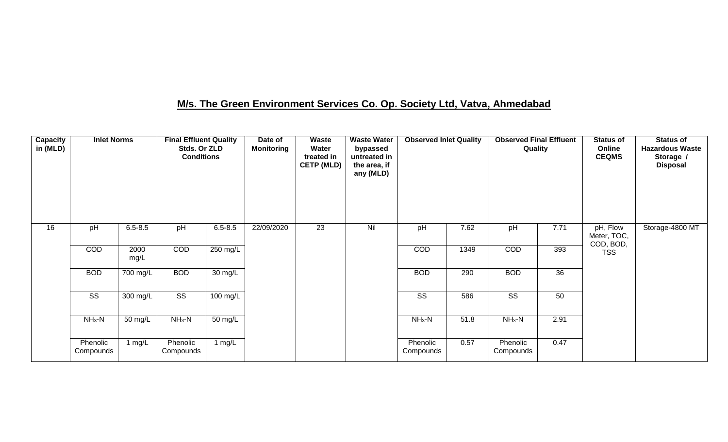### **M/s. The Green Environment Services Co. Op. Society Ltd, Vatva, Ahmedabad**

| Capacity<br>in (MLD) | <b>Inlet Norms</b>     |              | <b>Final Effluent Quality</b><br>Stds. Or ZLD<br><b>Conditions</b> |                      | Date of<br><b>Monitoring</b> | Waste<br>Water<br>treated in<br><b>CETP (MLD)</b> | <b>Waste Water</b><br>bypassed<br>untreated in<br>the area, if<br>any (MLD) | <b>Observed Inlet Quality</b> |      | <b>Observed Final Effluent</b><br>Quality |                 | <b>Status of</b><br>Online<br><b>CEQMS</b> | <b>Status of</b><br><b>Hazardous Waste</b><br>Storage /<br><b>Disposal</b> |
|----------------------|------------------------|--------------|--------------------------------------------------------------------|----------------------|------------------------------|---------------------------------------------------|-----------------------------------------------------------------------------|-------------------------------|------|-------------------------------------------|-----------------|--------------------------------------------|----------------------------------------------------------------------------|
| 16                   | pH                     | $6.5 - 8.5$  | pH                                                                 | $6.5 - 8.5$          | 22/09/2020                   | $\overline{23}$                                   | Nil                                                                         | pH                            | 7.62 | pH                                        | 7.71            | pH, Flow<br>Meter, TOC,<br>COD, BOD,       | Storage-4800 MT                                                            |
|                      | COD                    | 2000<br>mg/L | COD                                                                | 250 mg/L             |                              |                                                   |                                                                             | COD                           | 1349 | COD                                       | 393             | <b>TSS</b>                                 |                                                                            |
|                      | <b>BOD</b>             | 700 mg/L     | <b>BOD</b>                                                         | $\overline{30}$ mg/L |                              |                                                   |                                                                             | <b>BOD</b>                    | 290  | <b>BOD</b>                                | $\overline{36}$ |                                            |                                                                            |
|                      | $\overline{\text{ss}}$ | 300 mg/L     | $\overline{\text{ss}}$                                             | $100 \text{ mg/L}$   |                              |                                                   |                                                                             | $\overline{\text{ss}}$        | 586  | $\overline{\text{SS}}$                    | 50              |                                            |                                                                            |
|                      | $NH3-N$                | 50 mg/L      | $NH3-N$                                                            | 50 mg/L              |                              |                                                   |                                                                             | $NH3-N$                       | 51.8 | $NH3-N$                                   | 2.91            |                                            |                                                                            |
|                      | Phenolic<br>Compounds  | 1 $mg/L$     | Phenolic<br>Compounds                                              | 1 $mg/L$             |                              |                                                   |                                                                             | Phenolic<br>Compounds         | 0.57 | Phenolic<br>Compounds                     | 0.47            |                                            |                                                                            |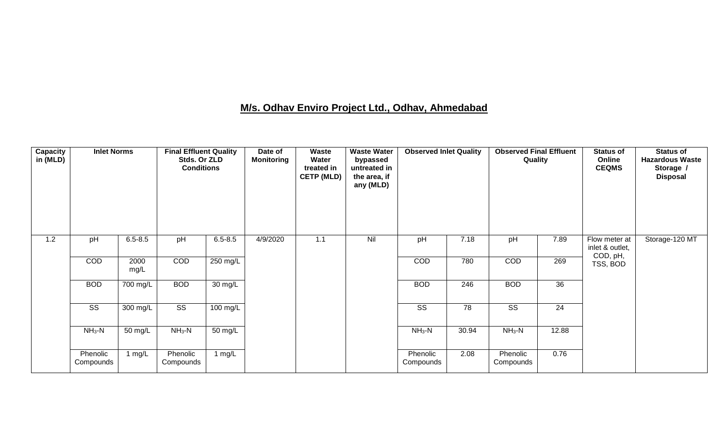### **M/s. Odhav Enviro Project Ltd., Odhav, Ahmedabad**

| <b>Capacity</b><br>in (MLD) | <b>Inlet Norms</b>     |                       | <b>Final Effluent Quality</b><br>Stds. Or ZLD<br><b>Conditions</b> |             | Date of<br><b>Monitoring</b> | Waste<br>Water<br>treated in<br><b>CETP (MLD)</b> | <b>Waste Water</b><br>bypassed<br>untreated in<br>the area, if<br>any (MLD) | <b>Observed Inlet Quality</b> |       | <b>Observed Final Effluent</b><br>Quality |                 | <b>Status of</b><br>Online<br><b>CEQMS</b>   | <b>Status of</b><br><b>Hazardous Waste</b><br>Storage /<br><b>Disposal</b> |
|-----------------------------|------------------------|-----------------------|--------------------------------------------------------------------|-------------|------------------------------|---------------------------------------------------|-----------------------------------------------------------------------------|-------------------------------|-------|-------------------------------------------|-----------------|----------------------------------------------|----------------------------------------------------------------------------|
| 1.2                         | pH                     | $6.5 - 8.5$           | pH                                                                 | $6.5 - 8.5$ | 4/9/2020                     | 1.1                                               | Nil                                                                         | pH                            | 7.18  | pH                                        | 7.89            | Flow meter at<br>inlet & outlet,<br>COD, pH, | Storage-120 MT                                                             |
|                             | COD                    | 2000<br>mg/L          | COD                                                                | 250 mg/L    |                              |                                                   |                                                                             | COD                           | 780   | COD                                       | 269             | TSS, BOD                                     |                                                                            |
|                             | <b>BOD</b>             | 700 mg/L              | <b>BOD</b>                                                         | 30 mg/L     |                              |                                                   |                                                                             | <b>BOD</b>                    | 246   | <b>BOD</b>                                | 36              |                                              |                                                                            |
|                             | $\overline{\text{SS}}$ | $300 \,\mathrm{mg/L}$ | $\overline{\text{SS}}$                                             | $100$ mg/L  |                              |                                                   |                                                                             | $\overline{\text{SS}}$        | 78    | $\overline{\text{SS}}$                    | $\overline{24}$ |                                              |                                                                            |
|                             | $NH3-N$                | 50 mg/L               | $NH3-N$                                                            | 50 mg/L     |                              |                                                   |                                                                             | $NH3-N$                       | 30.94 | $NH3-N$                                   | 12.88           |                                              |                                                                            |
|                             | Phenolic<br>Compounds  | 1 $mg/L$              | Phenolic<br>Compounds                                              | 1 $mg/L$    |                              |                                                   |                                                                             | Phenolic<br>Compounds         | 2.08  | Phenolic<br>Compounds                     | 0.76            |                                              |                                                                            |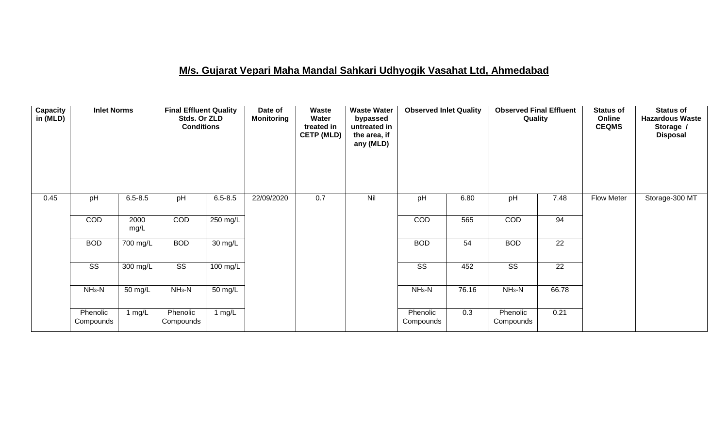### **M/s. Gujarat Vepari Maha Mandal Sahkari Udhyogik Vasahat Ltd, Ahmedabad**

| <b>Capacity</b><br>in (MLD) | <b>Inlet Norms</b>     |                      | <b>Final Effluent Quality</b><br>Stds. Or ZLD<br><b>Conditions</b> |                    | Date of<br><b>Monitoring</b> | Waste<br>Water<br>treated in<br><b>CETP (MLD)</b> | <b>Waste Water</b><br>bypassed<br>untreated in<br>the area, if<br>any (MLD) | <b>Observed Inlet Quality</b> |       | <b>Observed Final Effluent</b><br>Quality |                 | <b>Status of</b><br>Online<br><b>CEQMS</b> | <b>Status of</b><br><b>Hazardous Waste</b><br>Storage /<br><b>Disposal</b> |
|-----------------------------|------------------------|----------------------|--------------------------------------------------------------------|--------------------|------------------------------|---------------------------------------------------|-----------------------------------------------------------------------------|-------------------------------|-------|-------------------------------------------|-----------------|--------------------------------------------|----------------------------------------------------------------------------|
| 0.45                        | pH                     | $6.5 - 8.5$          | pH                                                                 | $6.5 - 8.5$        | 22/09/2020                   | 0.7                                               | Nil                                                                         | pH                            | 6.80  | pH                                        | 7.48            | Flow Meter                                 | Storage-300 MT                                                             |
|                             | COD                    | 2000<br>mg/L         | COD                                                                | $250 \text{ mg/L}$ |                              |                                                   |                                                                             | COD                           | 565   | COD                                       | 94              |                                            |                                                                            |
|                             | <b>BOD</b>             | 700 mg/L             | <b>BOD</b>                                                         | $30 \text{ mg/L}$  |                              |                                                   |                                                                             | <b>BOD</b>                    | 54    | <b>BOD</b>                                | 22              |                                            |                                                                            |
|                             | $\overline{\text{ss}}$ | $300$ mg/L           | $\overline{\text{SS}}$                                             | $100$ mg/L         |                              |                                                   |                                                                             | $\overline{\text{ss}}$        | 452   | $\overline{\text{SS}}$                    | $\overline{22}$ |                                            |                                                                            |
|                             | $NH3-N$                | $\overline{50}$ mg/L | $NH3-N$                                                            | $50 \text{ mg/L}$  |                              |                                                   |                                                                             | $NH3-N$                       | 76.16 | $NH3-N$                                   | 66.78           |                                            |                                                                            |
|                             | Phenolic<br>Compounds  | 1 mg/L               | Phenolic<br>Compounds                                              | 1 $mg/L$           |                              |                                                   |                                                                             | Phenolic<br>Compounds         | 0.3   | Phenolic<br>Compounds                     | 0.21            |                                            |                                                                            |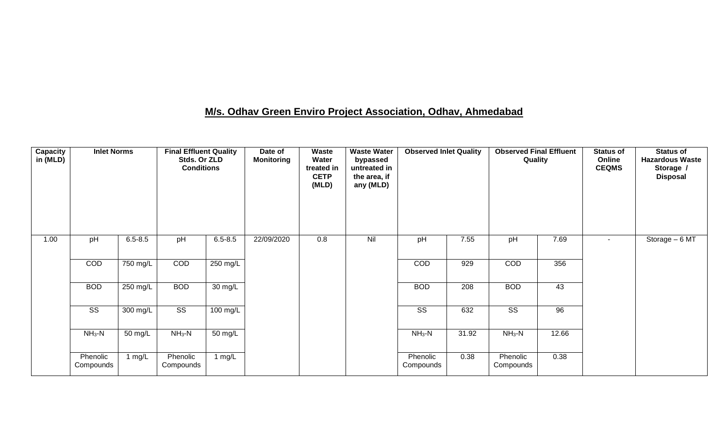# **M/s. Odhav Green Enviro Project Association, Odhav, Ahmedabad**

| <b>Capacity</b><br>in (MLD) | <b>Inlet Norms</b>    |             | <b>Final Effluent Quality</b><br>Stds. Or ZLD<br><b>Conditions</b> |             | Date of<br><b>Monitoring</b> | Waste<br>Water<br>treated in<br><b>CETP</b><br>(MLD) | <b>Waste Water</b><br>bypassed<br>untreated in<br>the area, if<br>any (MLD) | <b>Observed Inlet Quality</b> |       | <b>Observed Final Effluent</b><br>Quality |       | <b>Status of</b><br>Online<br><b>CEQMS</b> | <b>Status of</b><br><b>Hazardous Waste</b><br>Storage /<br><b>Disposal</b> |
|-----------------------------|-----------------------|-------------|--------------------------------------------------------------------|-------------|------------------------------|------------------------------------------------------|-----------------------------------------------------------------------------|-------------------------------|-------|-------------------------------------------|-------|--------------------------------------------|----------------------------------------------------------------------------|
| 1.00                        | pH                    | $6.5 - 8.5$ | pH                                                                 | $6.5 - 8.5$ | 22/09/2020                   | 0.8                                                  | Nil                                                                         | pH                            | 7.55  | pH                                        | 7.69  | $\blacksquare$                             | Storage $-\overline{6MT}$                                                  |
|                             | COD                   | 750 mg/L    | COD                                                                | 250 mg/L    |                              |                                                      |                                                                             | COD                           | 929   | COD                                       | 356   |                                            |                                                                            |
|                             | <b>BOD</b>            | 250 mg/L    | <b>BOD</b>                                                         | 30 mg/L     |                              |                                                      |                                                                             | <b>BOD</b>                    | 208   | <b>BOD</b>                                | 43    |                                            |                                                                            |
|                             | SS                    | 300 mg/L    | SS                                                                 | 100 mg/L    |                              |                                                      |                                                                             | SS                            | 632   | SS                                        | 96    |                                            |                                                                            |
|                             | $NH_3-N$              | 50 mg/L     | $NH3-N$                                                            | 50 mg/L     |                              |                                                      |                                                                             | $NH3-N$                       | 31.92 | $NH_3-N$                                  | 12.66 |                                            |                                                                            |
|                             | Phenolic<br>Compounds | 1 $mg/L$    | Phenolic<br>Compounds                                              | 1 $mg/L$    |                              |                                                      |                                                                             | Phenolic<br>Compounds         | 0.38  | Phenolic<br>Compounds                     | 0.38  |                                            |                                                                            |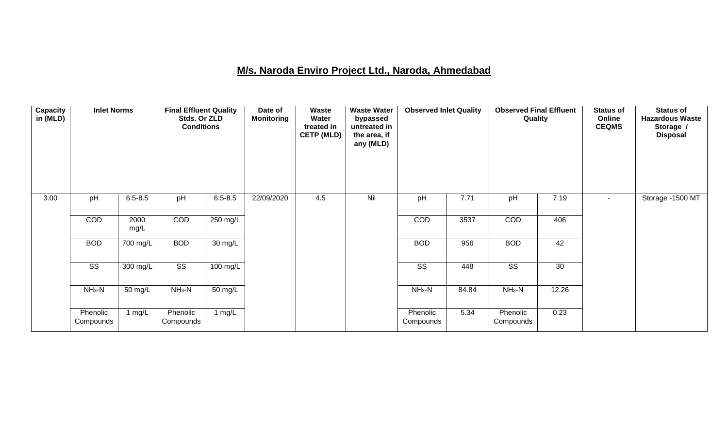### **M/s. Naroda Enviro Project Ltd., Naroda, Ahmedabad**

| <b>Capacity</b><br>in (MLD) | <b>Inlet Norms</b>     |                    | <b>Final Effluent Quality</b><br>Stds. Or ZLD<br><b>Conditions</b> |                   | Date of<br><b>Monitoring</b> | <b>Waste</b><br>Water<br>treated in<br><b>CETP (MLD)</b> | <b>Waste Water</b><br>bypassed<br>untreated in<br>the area, if<br>any (MLD) | <b>Observed Inlet Quality</b> |       | <b>Observed Final Effluent</b><br>Quality |       | <b>Status of</b><br>Online<br><b>CEQMS</b> | <b>Status of</b><br><b>Hazardous Waste</b><br>Storage /<br><b>Disposal</b> |
|-----------------------------|------------------------|--------------------|--------------------------------------------------------------------|-------------------|------------------------------|----------------------------------------------------------|-----------------------------------------------------------------------------|-------------------------------|-------|-------------------------------------------|-------|--------------------------------------------|----------------------------------------------------------------------------|
| 3.00                        | pH                     | $6.5 - 8.5$        | pH                                                                 | $6.5 - 8.5$       | 22/09/2020                   | 4.5                                                      | Nil                                                                         | pH                            | 7.71  | pH                                        | 7.19  | $\sim$                                     | Storage -1500 MT                                                           |
|                             | COD                    | 2000<br>mg/L       | COD                                                                | 250 mg/L          |                              |                                                          |                                                                             | <b>COD</b>                    | 3537  | COD                                       | 406   |                                            |                                                                            |
|                             | <b>BOD</b>             | 700 mg/L           | <b>BOD</b>                                                         | $30 \text{ mg/L}$ |                              |                                                          |                                                                             | <b>BOD</b>                    | 956   | <b>BOD</b>                                | 42    |                                            |                                                                            |
|                             | $\overline{\text{ss}}$ | $300 \text{ mg/L}$ | $\overline{\text{ss}}$                                             | $100$ mg/L        |                              |                                                          |                                                                             | $\overline{\text{ss}}$        | 448   | $\overline{\text{ss}}$                    | 30    |                                            |                                                                            |
|                             | $NH3-N$                | 50 mg/L            | $NH3-N$                                                            | 50 mg/L           |                              |                                                          |                                                                             | $NH3-N$                       | 84.84 | $NH_3-N$                                  | 12.26 |                                            |                                                                            |
|                             | Phenolic<br>Compounds  | 1 $mg/L$           | Phenolic<br>Compounds                                              | 1 $mg/L$          |                              |                                                          |                                                                             | Phenolic<br>Compounds         | 5.34  | Phenolic<br>Compounds                     | 0.23  |                                            |                                                                            |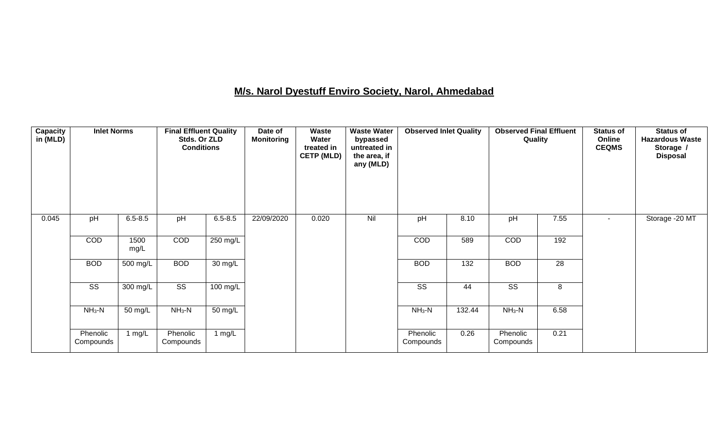### **M/s. Narol Dyestuff Enviro Society, Narol, Ahmedabad**

| <b>Capacity</b><br>in (MLD) | <b>Inlet Norms</b>     |                    | <b>Final Effluent Quality</b><br>Stds. Or ZLD<br><b>Conditions</b> |                      | Date of<br><b>Monitoring</b> | Waste<br>Water<br>treated in<br><b>CETP (MLD)</b> | <b>Waste Water</b><br>bypassed<br>untreated in<br>the area, if<br>any (MLD) | <b>Observed Inlet Quality</b> |        | <b>Observed Final Effluent</b><br>Quality |      | <b>Status of</b><br>Online<br><b>CEQMS</b> | <b>Status of</b><br><b>Hazardous Waste</b><br>Storage /<br><b>Disposal</b> |
|-----------------------------|------------------------|--------------------|--------------------------------------------------------------------|----------------------|------------------------------|---------------------------------------------------|-----------------------------------------------------------------------------|-------------------------------|--------|-------------------------------------------|------|--------------------------------------------|----------------------------------------------------------------------------|
| 0.045                       | pH                     | $6.5 - 8.5$        | pH                                                                 | $6.5 - 8.5$          | 22/09/2020                   | 0.020                                             | Nil                                                                         | pH                            | 8.10   | pH                                        | 7.55 | $\overline{\phantom{a}}$                   | Storage - 20 MT                                                            |
|                             | COD                    | 1500<br>mg/L       | COD                                                                | 250 mg/L             |                              |                                                   |                                                                             | COD                           | 589    | COD                                       | 192  |                                            |                                                                            |
|                             | <b>BOD</b>             | $500$ mg/L         | <b>BOD</b>                                                         | 30 mg/L              |                              |                                                   |                                                                             | <b>BOD</b>                    | 132    | <b>BOD</b>                                | 28   |                                            |                                                                            |
|                             | $\overline{\text{SS}}$ | $300 \text{ mg/L}$ | $\overline{\text{SS}}$                                             | 100 mg/L             |                              |                                                   |                                                                             | $\overline{\text{SS}}$        | 44     | $\overline{\text{SS}}$                    | 8    |                                            |                                                                            |
|                             | $NH3-N$                | 50 mg/L            | $NH3-N$                                                            | $\overline{50}$ mg/L |                              |                                                   |                                                                             | $NH3-N$                       | 132.44 | $NH3-N$                                   | 6.58 |                                            |                                                                            |
|                             | Phenolic<br>Compounds  | 1 $mg/L$           | Phenolic<br>Compounds                                              | 1 $mg/L$             |                              |                                                   |                                                                             | Phenolic<br>Compounds         | 0.26   | Phenolic<br>Compounds                     | 0.21 |                                            |                                                                            |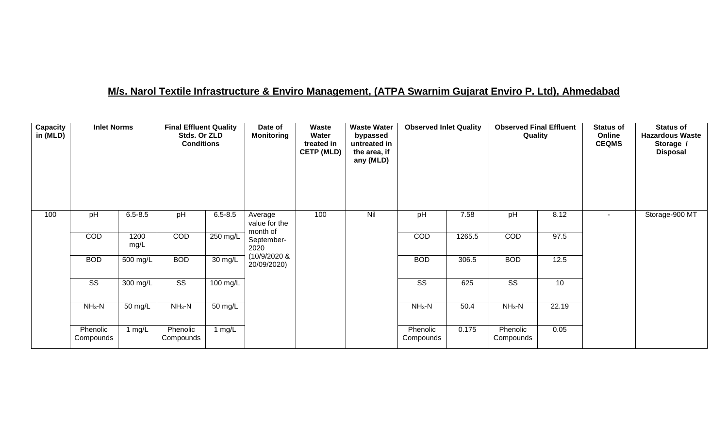### **M/s. Narol Textile Infrastructure & Enviro Management, (ATPA Swarnim Gujarat Enviro P. Ltd), Ahmedabad**

| Capacity<br>in (MLD) | <b>Inlet Norms</b>     |              | <b>Final Effluent Quality</b><br>Stds. Or ZLD<br><b>Conditions</b> |                    | Date of<br><b>Monitoring</b>         | Waste<br>Water<br>treated in<br><b>CETP (MLD)</b> | <b>Waste Water</b><br>bypassed<br>untreated in<br>the area, if<br>any (MLD) | <b>Observed Inlet Quality</b> |        | <b>Observed Final Effluent</b><br>Quality |       | <b>Status of</b><br>Online<br><b>CEQMS</b> | <b>Status of</b><br><b>Hazardous Waste</b><br>Storage /<br><b>Disposal</b> |
|----------------------|------------------------|--------------|--------------------------------------------------------------------|--------------------|--------------------------------------|---------------------------------------------------|-----------------------------------------------------------------------------|-------------------------------|--------|-------------------------------------------|-------|--------------------------------------------|----------------------------------------------------------------------------|
| 100                  | pH                     | $6.5 - 8.5$  | pH                                                                 | $6.5 - 8.5$        | Average<br>value for the<br>month of | 100                                               | Nil                                                                         | pH                            | 7.58   | pH                                        | 8.12  | $\overline{\phantom{a}}$                   | Storage-900 MT                                                             |
|                      | COD                    | 1200<br>mg/L | COD                                                                | 250 mg/L           | September-<br>2020                   |                                                   |                                                                             | <b>COD</b>                    | 1265.5 | COD                                       | 97.5  |                                            |                                                                            |
|                      | <b>BOD</b>             | $500$ mg/L   | <b>BOD</b>                                                         | 30 mg/L            | (10/9/2020 &<br>20/09/2020)          |                                                   |                                                                             | <b>BOD</b>                    | 306.5  | <b>BOD</b>                                | 12.5  |                                            |                                                                            |
|                      | $\overline{\text{ss}}$ | 300 mg/L     | $\overline{\text{ss}}$                                             | $100 \text{ mg/L}$ |                                      |                                                   |                                                                             | $\overline{\text{ss}}$        | 625    | $\overline{\text{ss}}$                    | 10    |                                            |                                                                            |
|                      | $NH3-N$                | 50 mg/L      | $NH3-N$                                                            | 50 mg/L            |                                      |                                                   |                                                                             | $NH3-N$                       | 50.4   | $NH_3-N$                                  | 22.19 |                                            |                                                                            |
|                      | Phenolic<br>Compounds  | 1 $mg/L$     | Phenolic<br>Compounds                                              | 1 $mg/L$           |                                      |                                                   |                                                                             | Phenolic<br>Compounds         | 0.175  | Phenolic<br>Compounds                     | 0.05  |                                            |                                                                            |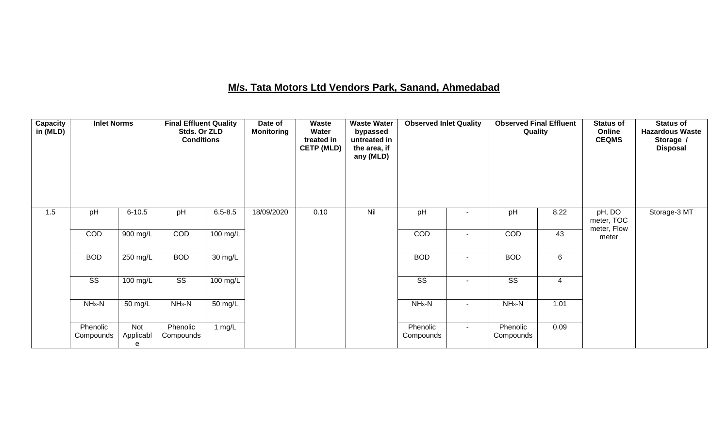# **M/s. Tata Motors Ltd Vendors Park, Sanand, Ahmedabad**

| <b>Capacity</b><br>in (MLD) | <b>Inlet Norms</b>     |                       | <b>Final Effluent Quality</b><br>Stds. Or ZLD<br><b>Conditions</b> |                    | Date of<br><b>Monitoring</b> | Waste<br>Water<br>treated in<br><b>CETP (MLD)</b> | <b>Waste Water</b><br>bypassed<br>untreated in<br>the area, if<br>any (MLD) | <b>Observed Inlet Quality</b> |                | <b>Observed Final Effluent</b><br>Quality |      | <b>Status of</b><br>Online<br><b>CEQMS</b> | <b>Status of</b><br><b>Hazardous Waste</b><br>Storage /<br><b>Disposal</b> |
|-----------------------------|------------------------|-----------------------|--------------------------------------------------------------------|--------------------|------------------------------|---------------------------------------------------|-----------------------------------------------------------------------------|-------------------------------|----------------|-------------------------------------------|------|--------------------------------------------|----------------------------------------------------------------------------|
| 1.5                         | pH                     | $6 - 10.5$            | pH                                                                 | $6.5 - 8.5$        | 18/09/2020                   | 0.10                                              | Nil                                                                         | pH                            |                | pH                                        | 8.22 | pH, DO<br>meter, TOC<br>meter, Flow        | Storage-3 MT                                                               |
|                             | COD                    | $900$ mg/L            | COD                                                                | $100 \text{ mg/L}$ |                              |                                                   |                                                                             | COD                           | ٠              | COD                                       | 43   | meter                                      |                                                                            |
|                             | <b>BOD</b>             | $250$ mg/L            | <b>BOD</b>                                                         | 30 mg/L            |                              |                                                   |                                                                             | <b>BOD</b>                    | $\blacksquare$ | <b>BOD</b>                                | 6    |                                            |                                                                            |
|                             | $\overline{\text{ss}}$ | $100 \text{ mg/L}$    | $\overline{\text{ss}}$                                             | $100 \text{ mg/L}$ |                              |                                                   |                                                                             | $\overline{\text{ss}}$        |                | $\overline{\text{ss}}$                    | 4    |                                            |                                                                            |
|                             | $NH3-N$                | 50 mg/L               | $NH_3-N$                                                           | 50 mg/L            |                              |                                                   |                                                                             | $NH3-N$                       | $\sim$         | $NH3-N$                                   | 1.01 |                                            |                                                                            |
|                             | Phenolic<br>Compounds  | Not<br>Applicabl<br>e | Phenolic<br>Compounds                                              | 1 $mg/L$           |                              |                                                   |                                                                             | Phenolic<br>Compounds         | $\sim$         | Phenolic<br>Compounds                     | 0.09 |                                            |                                                                            |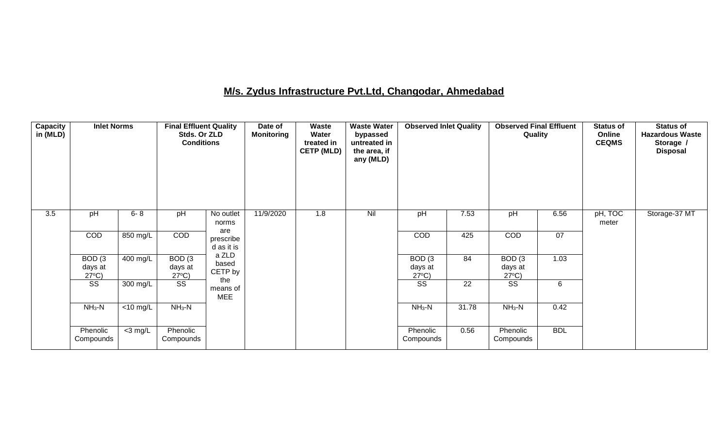### **M/s. Zydus Infrastructure Pvt.Ltd, Changodar, Ahmedabad**

| Capacity<br>in (MLD) | <b>Inlet Norms</b>                              |                               | <b>Final Effluent Quality</b><br>Stds. Or ZLD<br><b>Conditions</b> |                               | Date of<br><b>Monitoring</b> | Waste<br>Water<br>treated in<br><b>CETP (MLD)</b> | <b>Waste Water</b><br>bypassed<br>untreated in<br>the area, if<br>any (MLD) | <b>Observed Inlet Quality</b>                   |       | <b>Observed Final Effluent</b><br>Quality       |            | <b>Status of</b><br>Online<br><b>CEQMS</b> | <b>Status of</b><br><b>Hazardous Waste</b><br>Storage /<br><b>Disposal</b> |
|----------------------|-------------------------------------------------|-------------------------------|--------------------------------------------------------------------|-------------------------------|------------------------------|---------------------------------------------------|-----------------------------------------------------------------------------|-------------------------------------------------|-------|-------------------------------------------------|------------|--------------------------------------------|----------------------------------------------------------------------------|
| 3.5                  | pH                                              | $6 - 8$                       | pH                                                                 | No outlet<br>norms<br>are     | 11/9/2020                    | 1.8                                               | Nil                                                                         | pH                                              | 7.53  | pH                                              | 6.56       | pH, TOC<br>meter                           | Storage-37 MT                                                              |
|                      | COD                                             | 850 mg/L                      | COD                                                                | prescribe<br>d as it is       |                              |                                                   |                                                                             | COD                                             | 425   | COD                                             | 07         |                                            |                                                                            |
|                      | BOD <sub>(3</sub><br>days at<br>$27^{\circ}C$ ) | 400 mg/L                      | BOD <sub>(3</sub><br>days at<br>$27^{\circ}C$ )                    | a ZLD<br>based<br>CETP by     |                              |                                                   |                                                                             | BOD <sub>(3</sub><br>days at<br>$27^{\circ}C$ ) | 84    | BOD <sub>(3</sub><br>days at<br>$27^{\circ}C$ ) | 1.03       |                                            |                                                                            |
|                      | SS                                              | 300 mg/L                      | SS                                                                 | the<br>means of<br><b>MEE</b> |                              |                                                   |                                                                             | $\overline{\text{ss}}$                          | 22    | SS                                              | 6          |                                            |                                                                            |
|                      | $NH3-N$                                         | $\overline{<}10 \text{ mg/L}$ | $NH3-N$                                                            |                               |                              |                                                   |                                                                             | $NH3-N$                                         | 31.78 | $NH3-N$                                         | 0.42       |                                            |                                                                            |
|                      | Phenolic<br>Compounds                           | $<$ 3 mg/L                    | Phenolic<br>Compounds                                              |                               |                              |                                                   |                                                                             | Phenolic<br>Compounds                           | 0.56  | Phenolic<br>Compounds                           | <b>BDL</b> |                                            |                                                                            |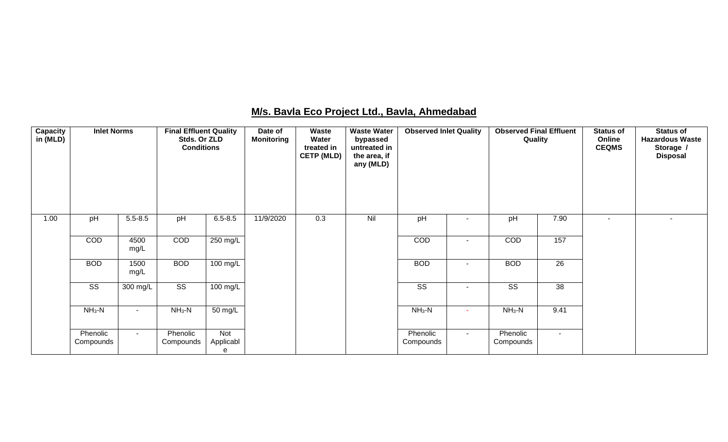| Capacity<br>in (MLD) | <b>Inlet Norms</b>     |                    | <b>Final Effluent Quality</b><br>Stds. Or ZLD<br><b>Conditions</b> |                       | Date of<br><b>Monitoring</b> | Waste<br>Water<br>treated in<br><b>CETP (MLD)</b> | <b>Waste Water</b><br>bypassed<br>untreated in<br>the area, if<br>any (MLD) | <b>Observed Inlet Quality</b> |                          | <b>Observed Final Effluent</b><br>Quality |                 | <b>Status of</b><br>Online<br><b>CEQMS</b> | <b>Status of</b><br><b>Hazardous Waste</b><br>Storage /<br><b>Disposal</b> |
|----------------------|------------------------|--------------------|--------------------------------------------------------------------|-----------------------|------------------------------|---------------------------------------------------|-----------------------------------------------------------------------------|-------------------------------|--------------------------|-------------------------------------------|-----------------|--------------------------------------------|----------------------------------------------------------------------------|
| 1.00                 | pH                     | $5.5 - 8.5$        | pH                                                                 | $6.5 - 8.5$           | 11/9/2020                    | 0.3                                               | Nil                                                                         | pH                            | $\overline{\phantom{a}}$ | pH                                        | 7.90            |                                            | $\blacksquare$                                                             |
|                      | COD                    | 4500<br>mg/L       | COD                                                                | $250$ mg/L            |                              |                                                   |                                                                             | COD                           | $\sim$                   | COD                                       | 157             |                                            |                                                                            |
|                      | <b>BOD</b>             | 1500<br>mg/L       | <b>BOD</b>                                                         | 100 mg/L              |                              |                                                   |                                                                             | <b>BOD</b>                    | $\sim$                   | <b>BOD</b>                                | $\overline{26}$ |                                            |                                                                            |
|                      | $\overline{\text{ss}}$ | $300 \text{ mg/L}$ | $\overline{\text{ss}}$                                             | 100 mg/L              |                              |                                                   |                                                                             | $\overline{\text{ss}}$        |                          | $\overline{\text{ss}}$                    | 38              |                                            |                                                                            |
|                      | $NH_3-N$               | $\sim$             | $NH_3-N$                                                           | 50 mg/L               |                              |                                                   |                                                                             | $NH3-N$                       | $\sim$                   | $NH_3-N$                                  | 9.41            |                                            |                                                                            |
|                      | Phenolic<br>Compounds  | $\sim$ 10 $\pm$    | Phenolic<br>Compounds                                              | Not<br>Applicabl<br>е |                              |                                                   |                                                                             | Phenolic<br>Compounds         | $\sim$                   | Phenolic<br>Compounds                     | $\sim$          |                                            |                                                                            |

#### **M/s. Bavla Eco Project Ltd., Bavla, Ahmedabad**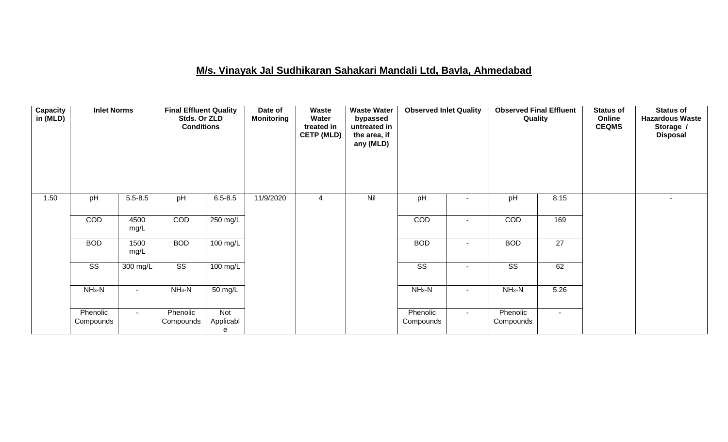### **M/s. Vinayak Jal Sudhikaran Sahakari Mandali Ltd, Bavla, Ahmedabad**

| <b>Capacity</b><br>in (MLD) | <b>Inlet Norms</b>     |                    | <b>Final Effluent Quality</b><br>Stds. Or ZLD<br><b>Conditions</b> |                       | Date of<br><b>Monitoring</b> | Waste<br>Water<br>treated in<br><b>CETP (MLD)</b> | <b>Waste Water</b><br>bypassed<br>untreated in<br>the area, if<br>any (MLD) | <b>Observed Inlet Quality</b> |                          | <b>Observed Final Effluent</b><br>Quality |                 | <b>Status of</b><br>Online<br><b>CEQMS</b> | <b>Status of</b><br><b>Hazardous Waste</b><br>Storage /<br><b>Disposal</b> |
|-----------------------------|------------------------|--------------------|--------------------------------------------------------------------|-----------------------|------------------------------|---------------------------------------------------|-----------------------------------------------------------------------------|-------------------------------|--------------------------|-------------------------------------------|-----------------|--------------------------------------------|----------------------------------------------------------------------------|
| 1.50                        | pH                     | $5.5 - 8.5$        | pH                                                                 | $6.5 - 8.5$           | 11/9/2020                    | 4                                                 | Nil                                                                         | pH                            | $\overline{\phantom{a}}$ | pH                                        | 8.15            |                                            | $\blacksquare$                                                             |
|                             | COD                    | 4500<br>mg/L       | COD                                                                | $250$ mg/L            |                              |                                                   |                                                                             | COD                           | $\overline{\phantom{a}}$ | COD                                       | 169             |                                            |                                                                            |
|                             | <b>BOD</b>             | 1500<br>mg/L       | <b>BOD</b>                                                         | $100 \text{ mg/L}$    |                              |                                                   |                                                                             | <b>BOD</b>                    | ٠                        | <b>BOD</b>                                | $\overline{27}$ |                                            |                                                                            |
|                             | $\overline{\text{SS}}$ | $300 \text{ mg/L}$ | $\overline{\text{ss}}$                                             | $100$ mg/L            |                              |                                                   |                                                                             | $\overline{\text{SS}}$        | $\blacksquare$           | $\overline{\text{SS}}$                    | 62              |                                            |                                                                            |
|                             | $NH3-N$                | $\blacksquare$     | $NH_3-N$                                                           | 50 mg/L               |                              |                                                   |                                                                             | $NH3-N$                       | $\blacksquare$           | $NH_3-N$                                  | 5.26            |                                            |                                                                            |
|                             | Phenolic<br>Compounds  | $\blacksquare$     | Phenolic<br>Compounds                                              | Not<br>Applicabl<br>e |                              |                                                   |                                                                             | Phenolic<br>Compounds         | $\sim$                   | Phenolic<br>Compounds                     | $\blacksquare$  |                                            |                                                                            |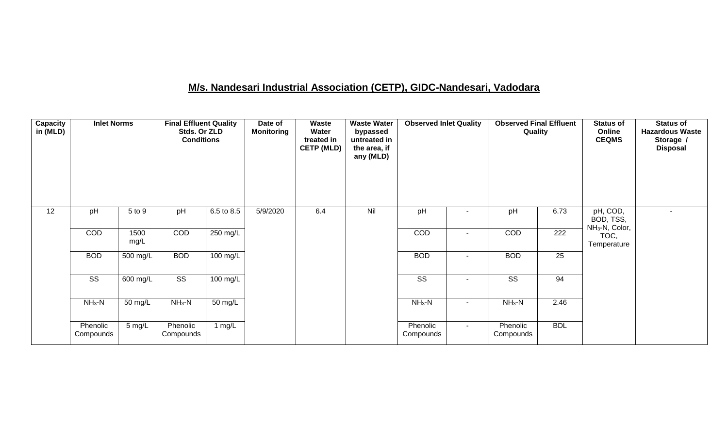### **M/s. Nandesari Industrial Association (CETP), GIDC-Nandesari, Vadodara**

| Capacity<br>in (MLD) | <b>Inlet Norms</b>     |              | <b>Final Effluent Quality</b><br>Stds. Or ZLD<br><b>Conditions</b> |                       | Date of<br><b>Monitoring</b> | Waste<br>Water<br>treated in<br><b>CETP (MLD)</b> | <b>Waste Water</b><br>bypassed<br>untreated in<br>the area, if<br>any (MLD) | <b>Observed Inlet Quality</b> |                          | <b>Observed Final Effluent</b><br>Quality |                  | <b>Status of</b><br>Online<br><b>CEQMS</b>          | <b>Status of</b><br><b>Hazardous Waste</b><br>Storage /<br><b>Disposal</b> |
|----------------------|------------------------|--------------|--------------------------------------------------------------------|-----------------------|------------------------------|---------------------------------------------------|-----------------------------------------------------------------------------|-------------------------------|--------------------------|-------------------------------------------|------------------|-----------------------------------------------------|----------------------------------------------------------------------------|
| 12                   | pH                     | 5 to 9       | pH                                                                 | 6.5 to 8.5            | 5/9/2020                     | 6.4                                               | Nil                                                                         | pH                            |                          | pH                                        | 6.73             | pH, COD,<br>BOD, TSS,<br>NH <sub>3</sub> -N, Color, | ٠                                                                          |
|                      | COD                    | 1500<br>mg/L | COD                                                                | $250 \text{ mg/L}$    |                              |                                                   |                                                                             | COD                           | $\sim$                   | COD                                       | $\overline{222}$ | TOC,<br>Temperature                                 |                                                                            |
|                      | <b>BOD</b>             | 500 mg/L     | <b>BOD</b>                                                         | $100 \text{ mg/L}$    |                              |                                                   |                                                                             | <b>BOD</b>                    | $\overline{\phantom{a}}$ | <b>BOD</b>                                | $\overline{25}$  |                                                     |                                                                            |
|                      | $\overline{\text{ss}}$ | 600 mg/L     | $\overline{\text{SS}}$                                             | $\overline{100}$ mg/L |                              |                                                   |                                                                             | $\overline{\text{ss}}$        | $\sim$                   | $\overline{\text{ss}}$                    | 94               |                                                     |                                                                            |
|                      | $NH3-N$                | 50 mg/L      | $NH_3-N$                                                           | 50 mg/L               |                              |                                                   |                                                                             | $NH_3-N$                      | $\sim$                   | $NH_3-N$                                  | 2.46             |                                                     |                                                                            |
|                      | Phenolic<br>Compounds  | $5$ mg/L     | Phenolic<br>Compounds                                              | 1 $mg/L$              |                              |                                                   |                                                                             | Phenolic<br>Compounds         | $\sim$                   | Phenolic<br>Compounds                     | <b>BDL</b>       |                                                     |                                                                            |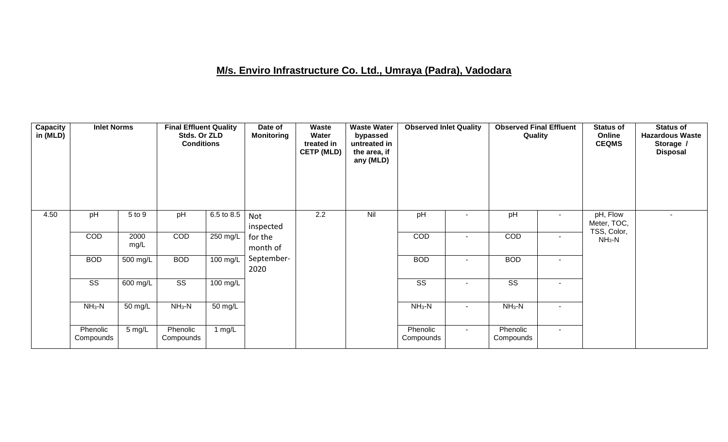### **M/s. Enviro Infrastructure Co. Ltd., Umraya (Padra), Vadodara**

| Capacity<br>in (MLD) | <b>Inlet Norms</b>     |              | <b>Final Effluent Quality</b><br>Stds. Or ZLD<br><b>Conditions</b> |                    | Date of<br><b>Monitoring</b> | <b>Waste</b><br>Water<br>treated in<br><b>CETP (MLD)</b> | <b>Waste Water</b><br>bypassed<br>untreated in<br>the area, if<br>any (MLD) | <b>Observed Inlet Quality</b> |        | <b>Observed Final Effluent</b><br>Quality |        | <b>Status of</b><br>Online<br><b>CEQMS</b> | <b>Status of</b><br><b>Hazardous Waste</b><br>Storage /<br><b>Disposal</b> |
|----------------------|------------------------|--------------|--------------------------------------------------------------------|--------------------|------------------------------|----------------------------------------------------------|-----------------------------------------------------------------------------|-------------------------------|--------|-------------------------------------------|--------|--------------------------------------------|----------------------------------------------------------------------------|
| 4.50                 | pH                     | 5 to 9       | pH                                                                 | 6.5 to 8.5         | Not<br>inspected             | $\overline{2.2}$                                         | Nil                                                                         | pH                            |        | pH                                        |        | pH, Flow<br>Meter, TOC,                    |                                                                            |
|                      | COD                    | 2000<br>mg/L | COD                                                                | 250 mg/L           | for the<br>month of          |                                                          |                                                                             | COD                           |        | COD                                       | $\sim$ | TSS, Color,<br>$NH3-N$                     |                                                                            |
|                      | <b>BOD</b>             | $500$ mg/L   | <b>BOD</b>                                                         | $100 \text{ mg/L}$ | September-<br>2020           |                                                          |                                                                             | <b>BOD</b>                    |        | <b>BOD</b>                                | $\sim$ |                                            |                                                                            |
|                      | $\overline{\text{ss}}$ | 600 mg/L     | $\overline{\text{ss}}$                                             | 100 mg/L           |                              |                                                          |                                                                             | $\overline{\text{SS}}$        |        | $\overline{\text{SS}}$                    | ۰      |                                            |                                                                            |
|                      | $NH3-N$                | 50 mg/L      | $NH3-N$                                                            | 50 mg/L            |                              |                                                          |                                                                             | $NH3-N$                       | $\sim$ | $NH3-N$                                   | $\sim$ |                                            |                                                                            |
|                      | Phenolic<br>Compounds  | 5 mg/L       | Phenolic<br>Compounds                                              | 1 $mg/L$           |                              |                                                          |                                                                             | Phenolic<br>Compounds         | $\sim$ | Phenolic<br>Compounds                     | $\sim$ |                                            |                                                                            |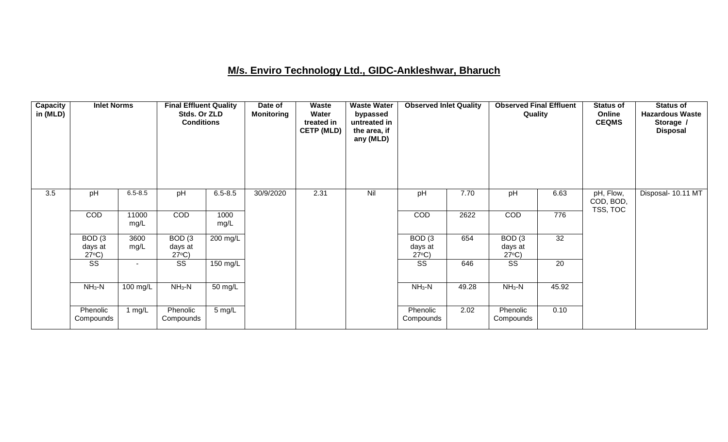### **M/s. Enviro Technology Ltd., GIDC-Ankleshwar, Bharuch**

| Capacity<br>in (MLD) | <b>Inlet Norms</b>                   |                | <b>Final Effluent Quality</b><br>Stds. Or ZLD<br><b>Conditions</b> |              | Date of<br><b>Monitoring</b> | <b>Waste</b><br>Water<br>treated in<br><b>CETP (MLD)</b> | <b>Waste Water</b><br>bypassed<br>untreated in<br>the area, if<br>any (MLD) | <b>Observed Inlet Quality</b>        |       | <b>Observed Final Effluent</b><br>Quality |                 | <b>Status of</b><br>Online<br><b>CEQMS</b> | <b>Status of</b><br><b>Hazardous Waste</b><br>Storage /<br><b>Disposal</b> |
|----------------------|--------------------------------------|----------------|--------------------------------------------------------------------|--------------|------------------------------|----------------------------------------------------------|-----------------------------------------------------------------------------|--------------------------------------|-------|-------------------------------------------|-----------------|--------------------------------------------|----------------------------------------------------------------------------|
| 3.5                  | pH                                   | $6.5 - 8.5$    | pH                                                                 | $6.5 - 8.5$  | 30/9/2020                    | 2.31                                                     | Nil                                                                         | pH                                   | 7.70  | pH                                        | 6.63            | pH, Flow,<br>COD, BOD,<br>TSS, TOC         | Disposal- 10.11 MT                                                         |
|                      | <b>COD</b>                           | 11000<br>mg/L  | COD                                                                | 1000<br>mg/L |                              |                                                          |                                                                             | COD                                  | 2622  | COD                                       | 776             |                                            |                                                                            |
|                      | BOD(3)<br>days at<br>$27^{\circ}C$ ) | 3600<br>mg/L   | BOD(3)<br>days at<br>$27^{\circ}C$ )                               | 200 mg/L     |                              |                                                          |                                                                             | BOD(3)<br>days at<br>$27^{\circ}C$ ) | 654   | BOD(3)<br>days at<br>$27^{\circ}C$ )      | $\overline{32}$ |                                            |                                                                            |
|                      | SS                                   | $\blacksquare$ | SS                                                                 | 150 mg/L     |                              |                                                          |                                                                             | $\overline{\text{SS}}$               | 646   | $\overline{\text{SS}}$                    | 20              |                                            |                                                                            |
|                      | $NH3-N$                              | 100 mg/L       | $NH_3-N$                                                           | 50 mg/L      |                              |                                                          |                                                                             | $NH3-N$                              | 49.28 | $NH3-N$                                   | 45.92           |                                            |                                                                            |
|                      | Phenolic<br>Compounds                | 1 mg/L         | Phenolic<br>Compounds                                              | 5 mg/L       |                              |                                                          |                                                                             | Phenolic<br>Compounds                | 2.02  | Phenolic<br>Compounds                     | 0.10            |                                            |                                                                            |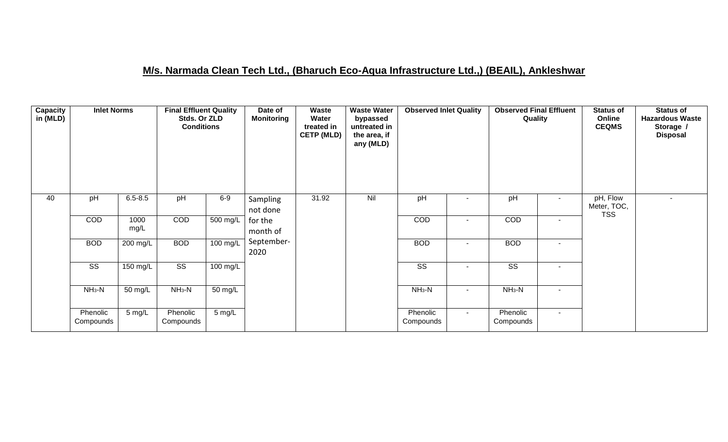### **M/s. Narmada Clean Tech Ltd., (Bharuch Eco-Aqua Infrastructure Ltd.,) (BEAIL), Ankleshwar**

| Capacity<br>in (MLD) | <b>Inlet Norms</b>     |              | <b>Final Effluent Quality</b><br>Stds. Or ZLD<br><b>Conditions</b> |                       | Date of<br><b>Monitoring</b> | Waste<br>Water<br>treated in<br><b>CETP (MLD)</b> | <b>Waste Water</b><br>bypassed<br>untreated in<br>the area, if<br>any (MLD) | <b>Observed Inlet Quality</b> |        | <b>Observed Final Effluent</b><br>Quality |                          | <b>Status of</b><br>Online<br><b>CEQMS</b> | <b>Status of</b><br><b>Hazardous Waste</b><br>Storage /<br><b>Disposal</b> |
|----------------------|------------------------|--------------|--------------------------------------------------------------------|-----------------------|------------------------------|---------------------------------------------------|-----------------------------------------------------------------------------|-------------------------------|--------|-------------------------------------------|--------------------------|--------------------------------------------|----------------------------------------------------------------------------|
| 40                   | pH                     | $6.5 - 8.5$  | pH                                                                 | $6-9$                 | Sampling<br>not done         | 31.92                                             | Nil                                                                         | pH                            |        | pH                                        | ۰                        | pH, Flow<br>Meter, TOC,<br><b>TSS</b>      |                                                                            |
|                      | COD                    | 1000<br>mg/L | COD                                                                | $\overline{500}$ mg/L | for the<br>month of          |                                                   |                                                                             | COD                           |        | COD                                       | $\overline{\phantom{a}}$ |                                            |                                                                            |
|                      | <b>BOD</b>             | 200 mg/L     | <b>BOD</b>                                                         | 100 mg/L              | September-<br>2020           |                                                   |                                                                             | <b>BOD</b>                    |        | <b>BOD</b>                                | $\overline{\phantom{a}}$ |                                            |                                                                            |
|                      | $\overline{\text{ss}}$ | $150$ mg/L   | $\overline{\text{SS}}$                                             | $100$ mg/L            |                              |                                                   |                                                                             | $\overline{\text{ss}}$        |        | $\overline{\text{SS}}$                    | $\overline{\phantom{a}}$ |                                            |                                                                            |
|                      | $NH3-N$                | 50 mg/L      | $NH_3-N$                                                           | 50 mg/L               |                              |                                                   |                                                                             | $NH3-N$                       |        | $NH_3-N$                                  | $\overline{\phantom{a}}$ |                                            |                                                                            |
|                      | Phenolic<br>Compounds  | $5$ mg/L     | Phenolic<br>Compounds                                              | $5 \text{ mg/L}$      |                              |                                                   |                                                                             | Phenolic<br>Compounds         | $\sim$ | Phenolic<br>Compounds                     | $\sim$                   |                                            |                                                                            |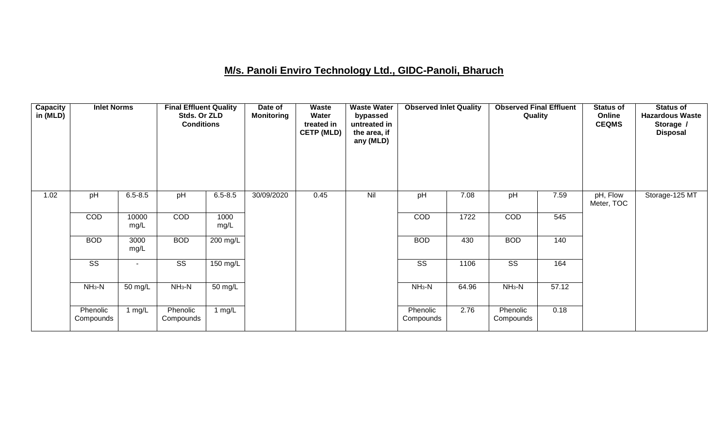### **M/s. Panoli Enviro Technology Ltd., GIDC-Panoli, Bharuch**

| <b>Capacity</b><br>in (MLD) | <b>Inlet Norms</b>     |                | <b>Final Effluent Quality</b><br>Stds. Or ZLD<br><b>Conditions</b> |              | Date of<br><b>Monitoring</b> | Waste<br>Water<br>treated in<br><b>CETP (MLD)</b> | <b>Waste Water</b><br>bypassed<br>untreated in<br>the area, if<br>any (MLD) | <b>Observed Inlet Quality</b> |       | <b>Observed Final Effluent</b><br>Quality |       | <b>Status of</b><br>Online<br><b>CEQMS</b> | <b>Status of</b><br><b>Hazardous Waste</b><br>Storage /<br><b>Disposal</b> |
|-----------------------------|------------------------|----------------|--------------------------------------------------------------------|--------------|------------------------------|---------------------------------------------------|-----------------------------------------------------------------------------|-------------------------------|-------|-------------------------------------------|-------|--------------------------------------------|----------------------------------------------------------------------------|
| 1.02                        | pH                     | $6.5 - 8.5$    | pH                                                                 | $6.5 - 8.5$  | 30/09/2020                   | 0.45                                              | Nil                                                                         | pH                            | 7.08  | pH                                        | 7.59  | pH, Flow<br>Meter, TOC                     | Storage-125 MT                                                             |
|                             | COD                    | 10000<br>mg/L  | COD                                                                | 1000<br>mg/L |                              |                                                   |                                                                             | COD                           | 1722  | COD                                       | 545   |                                            |                                                                            |
|                             | <b>BOD</b>             | 3000<br>mg/L   | <b>BOD</b>                                                         | 200 mg/L     |                              |                                                   |                                                                             | <b>BOD</b>                    | 430   | <b>BOD</b>                                | 140   |                                            |                                                                            |
|                             | $\overline{\text{ss}}$ | $\blacksquare$ | $\overline{\text{SS}}$                                             | 150 mg/L     |                              |                                                   |                                                                             | $\overline{\text{SS}}$        | 1106  | $\overline{\text{SS}}$                    | 164   |                                            |                                                                            |
|                             | $NH3-N$                | 50 mg/L        | $NH3-N$                                                            | 50 mg/L      |                              |                                                   |                                                                             | $NH3-N$                       | 64.96 | $NH3-N$                                   | 57.12 |                                            |                                                                            |
|                             | Phenolic<br>Compounds  | 1 $mg/L$       | Phenolic<br>Compounds                                              | 1 $mg/L$     |                              |                                                   |                                                                             | Phenolic<br>Compounds         | 2.76  | Phenolic<br>Compounds                     | 0.18  |                                            |                                                                            |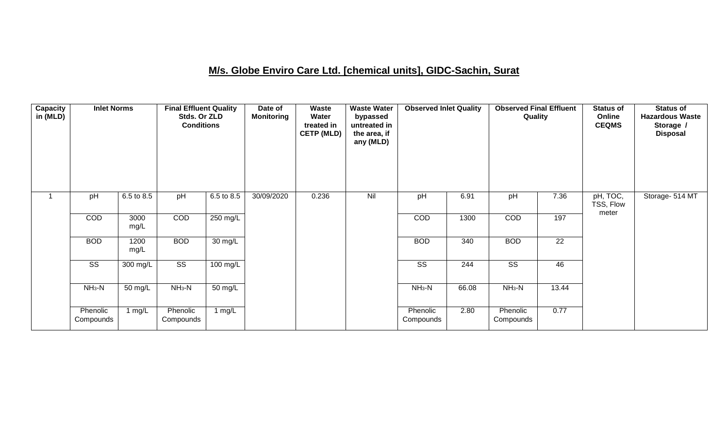### **M/s. Globe Enviro Care Ltd. [chemical units], GIDC-Sachin, Surat**

| <b>Capacity</b><br>in (MLD) | <b>Inlet Norms</b>     |              | <b>Final Effluent Quality</b><br>Stds. Or ZLD<br><b>Conditions</b> |                   | Date of<br><b>Monitoring</b> | Waste<br>Water<br>treated in<br><b>CETP (MLD)</b> | <b>Waste Water</b><br>bypassed<br>untreated in<br>the area, if<br>any (MLD) | <b>Observed Inlet Quality</b> |       | <b>Observed Final Effluent</b><br>Quality |       | <b>Status of</b><br>Online<br><b>CEQMS</b> | <b>Status of</b><br><b>Hazardous Waste</b><br>Storage /<br><b>Disposal</b> |
|-----------------------------|------------------------|--------------|--------------------------------------------------------------------|-------------------|------------------------------|---------------------------------------------------|-----------------------------------------------------------------------------|-------------------------------|-------|-------------------------------------------|-------|--------------------------------------------|----------------------------------------------------------------------------|
| 1                           | pH                     | 6.5 to 8.5   | pH                                                                 | 6.5 to 8.5        | 30/09/2020                   | 0.236                                             | Nil                                                                         | pH                            | 6.91  | pH                                        | 7.36  | pH, TOC,<br>TSS, Flow                      | Storage- 514 MT                                                            |
|                             | COD                    | 3000<br>mg/L | COD                                                                | 250 mg/L          |                              |                                                   |                                                                             | COD                           | 1300  | COD                                       | 197   | meter                                      |                                                                            |
|                             | <b>BOD</b>             | 1200<br>mg/L | <b>BOD</b>                                                         | $30 \text{ mg/L}$ |                              |                                                   |                                                                             | <b>BOD</b>                    | 340   | <b>BOD</b>                                | 22    |                                            |                                                                            |
|                             | $\overline{\text{ss}}$ | 300 mg/L     | $\overline{\text{ss}}$                                             | $100$ mg/L        |                              |                                                   |                                                                             | $\overline{\text{ss}}$        | 244   | $\overline{\text{ss}}$                    | 46    |                                            |                                                                            |
|                             | $NH3-N$                | 50 mg/L      | $NH3-N$                                                            | 50 mg/L           |                              |                                                   |                                                                             | $NH3-N$                       | 66.08 | $NH_3-N$                                  | 13.44 |                                            |                                                                            |
|                             | Phenolic<br>Compounds  | 1 mg/L       | Phenolic<br>Compounds                                              | 1 mg/L            |                              |                                                   |                                                                             | Phenolic<br>Compounds         | 2.80  | Phenolic<br>Compounds                     | 0.77  |                                            |                                                                            |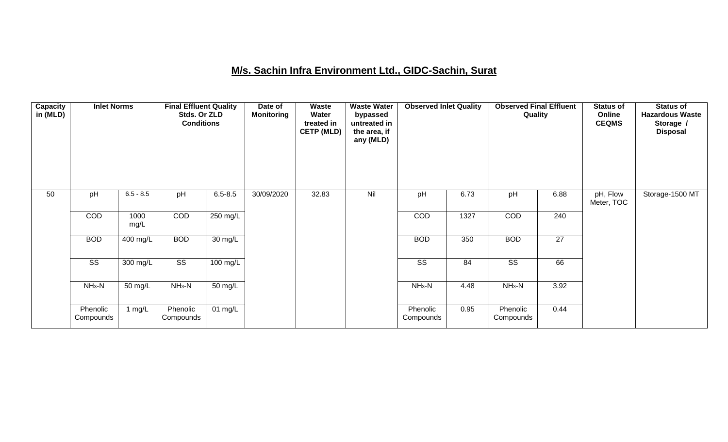### **M/s. Sachin Infra Environment Ltd., GIDC-Sachin, Surat**

| <b>Capacity</b><br>in (MLD) | <b>Inlet Norms</b>     |              | <b>Final Effluent Quality</b><br>Stds. Or ZLD<br><b>Conditions</b> |                      | Date of<br><b>Monitoring</b> | Waste<br>Water<br>treated in<br><b>CETP (MLD)</b> | <b>Waste Water</b><br>bypassed<br>untreated in<br>the area, if<br>any (MLD) | <b>Observed Inlet Quality</b> |      | <b>Observed Final Effluent</b><br>Quality |                 | <b>Status of</b><br>Online<br><b>CEQMS</b> | <b>Status of</b><br><b>Hazardous Waste</b><br>Storage /<br><b>Disposal</b> |
|-----------------------------|------------------------|--------------|--------------------------------------------------------------------|----------------------|------------------------------|---------------------------------------------------|-----------------------------------------------------------------------------|-------------------------------|------|-------------------------------------------|-----------------|--------------------------------------------|----------------------------------------------------------------------------|
| 50                          | pH                     | $6.5 - 8.5$  | pH                                                                 | $6.5 - 8.5$          | 30/09/2020                   | 32.83                                             | Nil                                                                         | pH                            | 6.73 | pH                                        | 6.88            | pH, Flow<br>Meter, TOC                     | Storage-1500 MT                                                            |
|                             | COD                    | 1000<br>mg/L | COD                                                                | 250 mg/L             |                              |                                                   |                                                                             | COD                           | 1327 | COD                                       | 240             |                                            |                                                                            |
|                             | <b>BOD</b>             | 400 mg/L     | <b>BOD</b>                                                         | $\overline{30}$ mg/L |                              |                                                   |                                                                             | <b>BOD</b>                    | 350  | <b>BOD</b>                                | $\overline{27}$ |                                            |                                                                            |
|                             | $\overline{\text{ss}}$ | 300 mg/L     | $\overline{\text{SS}}$                                             | $100 \text{ mg/L}$   |                              |                                                   |                                                                             | $\overline{\text{SS}}$        | 84   | $\overline{\text{SS}}$                    | 66              |                                            |                                                                            |
|                             | $NH3-N$                | 50 mg/L      | $NH3-N$                                                            | 50 mg/L              |                              |                                                   |                                                                             | $NH3-N$                       | 4.48 | $NH_3-N$                                  | 3.92            |                                            |                                                                            |
|                             | Phenolic<br>Compounds  | 1 mg/L       | Phenolic<br>Compounds                                              | 01 mg/L              |                              |                                                   |                                                                             | Phenolic<br>Compounds         | 0.95 | Phenolic<br>Compounds                     | 0.44            |                                            |                                                                            |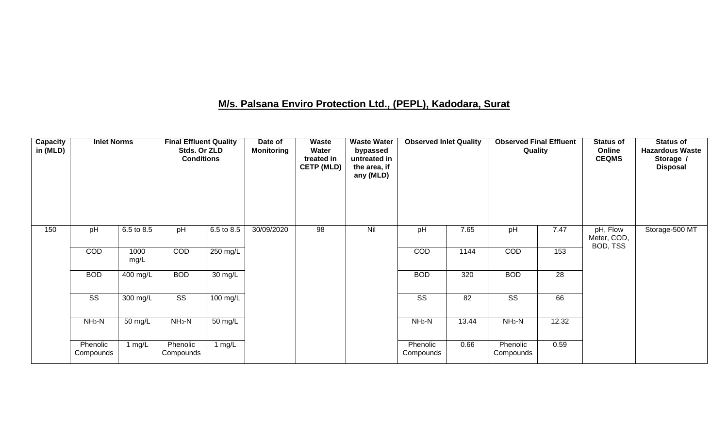### **M/s. Palsana Enviro Protection Ltd., (PEPL), Kadodara, Surat**

| Capacity<br>in (MLD) | <b>Inlet Norms</b>     |              | <b>Final Effluent Quality</b><br>Stds. Or ZLD<br><b>Conditions</b> |                    | Date of<br>Monitoring | <b>Waste</b><br>Water<br>treated in<br><b>CETP (MLD)</b> | <b>Waste Water</b><br>bypassed<br>untreated in<br>the area, if<br>any (MLD) | <b>Observed Inlet Quality</b> |       | <b>Observed Final Effluent</b><br>Quality |       | <b>Status of</b><br>Online<br><b>CEQMS</b> | <b>Status of</b><br><b>Hazardous Waste</b><br>Storage /<br><b>Disposal</b> |
|----------------------|------------------------|--------------|--------------------------------------------------------------------|--------------------|-----------------------|----------------------------------------------------------|-----------------------------------------------------------------------------|-------------------------------|-------|-------------------------------------------|-------|--------------------------------------------|----------------------------------------------------------------------------|
| 150                  | pH                     | 6.5 to 8.5   | pH                                                                 | 6.5 to 8.5         | 30/09/2020            | $\overline{98}$                                          | Nil                                                                         | pH                            | 7.65  | pH                                        | 7.47  | pH, Flow<br>Meter, COD,<br>BOD, TSS        | Storage-500 MT                                                             |
|                      | COD                    | 1000<br>mg/L | COD                                                                | 250 mg/L           |                       |                                                          |                                                                             | COD                           | 1144  | COD                                       | 153   |                                            |                                                                            |
|                      | <b>BOD</b>             | 400 mg/L     | <b>BOD</b>                                                         | $30 \text{ mg/L}$  |                       |                                                          |                                                                             | <b>BOD</b>                    | 320   | <b>BOD</b>                                | 28    |                                            |                                                                            |
|                      | $\overline{\text{ss}}$ | 300 mg/L     | $\overline{\text{ss}}$                                             | $100 \text{ mg/L}$ |                       |                                                          |                                                                             | $\overline{\text{ss}}$        | 82    | $\overline{\text{ss}}$                    | 66    |                                            |                                                                            |
|                      | $NH3-N$                | 50 mg/L      | $NH_3-N$                                                           | 50 mg/L            |                       |                                                          |                                                                             | $NH3-N$                       | 13.44 | $NH3-N$                                   | 12.32 |                                            |                                                                            |
|                      | Phenolic<br>Compounds  | 1 $mg/L$     | Phenolic<br>Compounds                                              | 1 $mg/L$           |                       |                                                          |                                                                             | Phenolic<br>Compounds         | 0.66  | Phenolic<br>Compounds                     | 0.59  |                                            |                                                                            |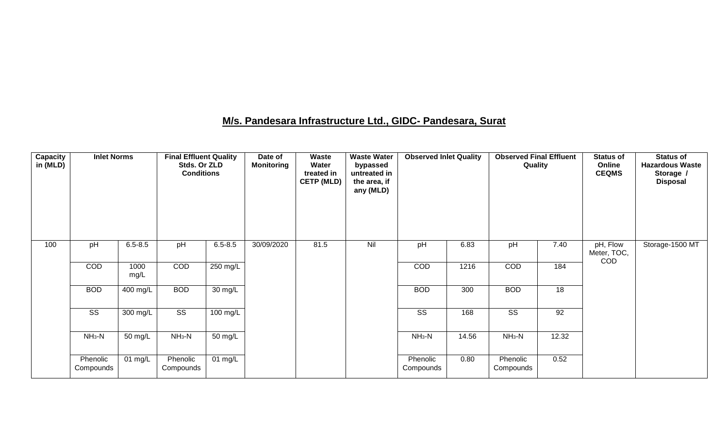### **M/s. Pandesara Infrastructure Ltd., GIDC- Pandesara, Surat**

| Capacity<br>in (MLD) | <b>Inlet Norms</b>    |              | <b>Final Effluent Quality</b><br>Stds. Or ZLD<br><b>Conditions</b> |                    | Date of<br><b>Monitoring</b> | Waste<br>Water<br>treated in<br><b>CETP (MLD)</b> | <b>Waste Water</b><br>bypassed<br>untreated in<br>the area, if<br>any (MLD) | <b>Observed Inlet Quality</b> |       | <b>Observed Final Effluent</b><br>Quality |       | <b>Status of</b><br>Online<br><b>CEQMS</b> | <b>Status of</b><br><b>Hazardous Waste</b><br>Storage /<br><b>Disposal</b> |
|----------------------|-----------------------|--------------|--------------------------------------------------------------------|--------------------|------------------------------|---------------------------------------------------|-----------------------------------------------------------------------------|-------------------------------|-------|-------------------------------------------|-------|--------------------------------------------|----------------------------------------------------------------------------|
| 100                  | pH                    | $6.5 - 8.5$  | pH                                                                 | $6.5 - 8.5$        | 30/09/2020                   | 81.5                                              | Nil                                                                         | pH                            | 6.83  | pH                                        | 7.40  | pH, Flow<br>Meter, TOC,<br><b>COD</b>      | Storage-1500 MT                                                            |
|                      | COD                   | 1000<br>mg/L | COD                                                                | 250 mg/L           |                              |                                                   |                                                                             | <b>COD</b>                    | 1216  | COD                                       | 184   |                                            |                                                                            |
|                      | <b>BOD</b>            | 400 mg/L     | <b>BOD</b>                                                         | $30 \text{ mg/L}$  |                              |                                                   |                                                                             | <b>BOD</b>                    | 300   | <b>BOD</b>                                | 18    |                                            |                                                                            |
|                      | SS                    | 300 mg/L     | $\overline{\text{SS}}$                                             | $100 \text{ mg/L}$ |                              |                                                   |                                                                             | $\overline{\text{ss}}$        | 168   | $\overline{\text{SS}}$                    | 92    |                                            |                                                                            |
|                      | $NH3-N$               | 50 mg/L      | $NH3-N$                                                            | 50 mg/L            |                              |                                                   |                                                                             | $NH3-N$                       | 14.56 | $NH_3-N$                                  | 12.32 |                                            |                                                                            |
|                      | Phenolic<br>Compounds | 01 $mg/L$    | Phenolic<br>Compounds                                              | 01 mg/L            |                              |                                                   |                                                                             | Phenolic<br>Compounds         | 0.80  | Phenolic<br>Compounds                     | 0.52  |                                            |                                                                            |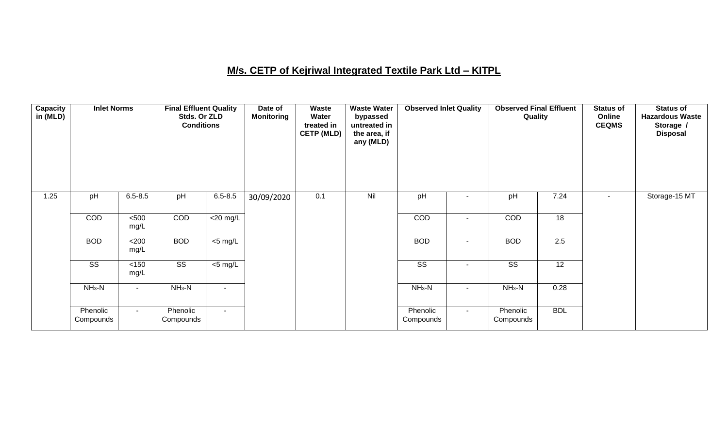### **M/s. CETP of Kejriwal Integrated Textile Park Ltd – KITPL**

| <b>Capacity</b><br>in (MLD) | <b>Inlet Norms</b>     |                | <b>Final Effluent Quality</b><br>Stds. Or ZLD<br><b>Conditions</b> |                                      | Date of<br><b>Monitoring</b> | Waste<br>Water<br>treated in<br><b>CETP (MLD)</b> | <b>Waste Water</b><br>bypassed<br>untreated in<br>the area, if<br>any (MLD) | <b>Observed Inlet Quality</b> |                | <b>Observed Final Effluent</b><br>Quality |                 | <b>Status of</b><br>Online<br><b>CEQMS</b> | <b>Status of</b><br><b>Hazardous Waste</b><br>Storage /<br><b>Disposal</b> |
|-----------------------------|------------------------|----------------|--------------------------------------------------------------------|--------------------------------------|------------------------------|---------------------------------------------------|-----------------------------------------------------------------------------|-------------------------------|----------------|-------------------------------------------|-----------------|--------------------------------------------|----------------------------------------------------------------------------|
| 1.25                        | pH                     | $6.5 - 8.5$    | pH                                                                 | $6.5 - 8.5$                          | 30/09/2020                   | 0.1                                               | Nil                                                                         | pH                            |                | pH                                        | 7.24            |                                            | Storage-15 MT                                                              |
|                             | COD                    | 500<br>mg/L    | COD                                                                | $\overline{\langle 20 \text{ mg/L}}$ |                              |                                                   |                                                                             | COD                           | $\blacksquare$ | COD                                       | $\overline{18}$ |                                            |                                                                            |
|                             | <b>BOD</b>             | <200<br>mg/L   | <b>BOD</b>                                                         | $\overline{5}$ mg/L                  |                              |                                                   |                                                                             | <b>BOD</b>                    | $\blacksquare$ | <b>BOD</b>                                | 2.5             |                                            |                                                                            |
|                             | $\overline{\text{ss}}$ | < 150<br>mg/L  | $\overline{\text{ss}}$                                             | $<$ 5 mg/L                           |                              |                                                   |                                                                             | $\overline{\text{ss}}$        | $\blacksquare$ | $\overline{\text{ss}}$                    | $\overline{12}$ |                                            |                                                                            |
|                             | $NH3-N$                | $\blacksquare$ | $NH3-N$                                                            | $\blacksquare$                       |                              |                                                   |                                                                             | $NH3-N$                       | $\blacksquare$ | $NH3-N$                                   | 0.28            |                                            |                                                                            |
|                             | Phenolic<br>Compounds  | $\sim$         | Phenolic<br>Compounds                                              | $\sim$                               |                              |                                                   |                                                                             | Phenolic<br>Compounds         | $\sim$         | Phenolic<br>Compounds                     | <b>BDL</b>      |                                            |                                                                            |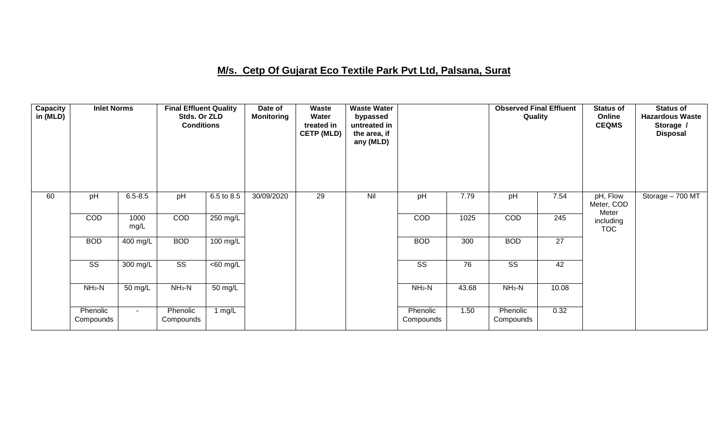### **M/s. Cetp Of Gujarat Eco Textile Park Pvt Ltd, Palsana, Surat**

| <b>Capacity</b><br>in (MLD) | <b>Inlet Norms</b>     |                       | <b>Final Effluent Quality</b><br>Stds. Or ZLD<br><b>Conditions</b> |                      | Date of<br><b>Monitoring</b> | Waste<br>Water<br>treated in<br><b>CETP (MLD)</b> | <b>Waste Water</b><br>bypassed<br>untreated in<br>the area, if<br>any (MLD) |                        |                 | <b>Observed Final Effluent</b><br>Quality |                 | <b>Status of</b><br>Online<br><b>CEQMS</b> | <b>Status of</b><br><b>Hazardous Waste</b><br>Storage /<br><b>Disposal</b> |
|-----------------------------|------------------------|-----------------------|--------------------------------------------------------------------|----------------------|------------------------------|---------------------------------------------------|-----------------------------------------------------------------------------|------------------------|-----------------|-------------------------------------------|-----------------|--------------------------------------------|----------------------------------------------------------------------------|
| 60                          | pH                     | $6.5 - 8.5$           | pH                                                                 | 6.5 to 8.5           | 30/09/2020                   | 29                                                | Nil                                                                         | pH                     | 7.79            | pH                                        | 7.54            | pH, Flow<br>Meter, COD<br>Meter            | Storage - 700 MT                                                           |
|                             | COD                    | 1000<br>mg/L          | COD                                                                | $250 \text{ mg/L}$   |                              |                                                   |                                                                             | COD                    | 1025            | COD                                       | 245             | including<br><b>TOC</b>                    |                                                                            |
|                             | <b>BOD</b>             | $\overline{400}$ mg/L | <b>BOD</b>                                                         | $100$ mg/L           |                              |                                                   |                                                                             | <b>BOD</b>             | 300             | <b>BOD</b>                                | $\overline{27}$ |                                            |                                                                            |
|                             | $\overline{\text{ss}}$ | 300 mg/L              | $\overline{\text{ss}}$                                             | $\overline{60}$ mg/L |                              |                                                   |                                                                             | $\overline{\text{SS}}$ | $\overline{76}$ | $\overline{\text{ss}}$                    | 42              |                                            |                                                                            |
|                             | $NH3-N$                | 50 mg/L               | $NH3-N$                                                            | $\overline{50}$ mg/L |                              |                                                   |                                                                             | $NH3-N$                | 43.68           | $NH3-N$                                   | 10.08           |                                            |                                                                            |
|                             | Phenolic<br>Compounds  | $\sim$                | Phenolic<br>Compounds                                              | 1 $mg/L$             |                              |                                                   |                                                                             | Phenolic<br>Compounds  | 1.50            | Phenolic<br>Compounds                     | 0.32            |                                            |                                                                            |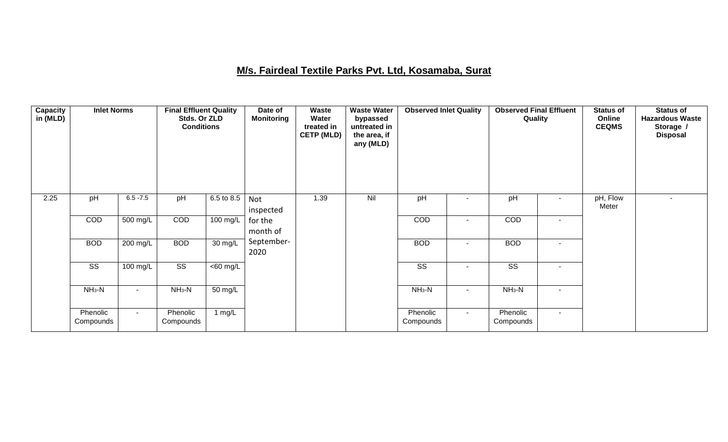### **M/s. Fairdeal Textile Parks Pvt. Ltd, Kosamaba, Surat**

| <b>Capacity</b><br>in (MLD) | <b>Inlet Norms</b>     |                          | <b>Final Effluent Quality</b><br>Stds. Or ZLD<br><b>Conditions</b> |                      | Date of<br><b>Monitoring</b> | Waste<br>Water<br>treated in<br><b>CETP (MLD)</b> | <b>Waste Water</b><br>bypassed<br>untreated in<br>the area, if<br>any (MLD) | <b>Observed Inlet Quality</b> |                          | <b>Observed Final Effluent</b><br>Quality |        | <b>Status of</b><br>Online<br><b>CEQMS</b> | <b>Status of</b><br><b>Hazardous Waste</b><br>Storage /<br><b>Disposal</b> |
|-----------------------------|------------------------|--------------------------|--------------------------------------------------------------------|----------------------|------------------------------|---------------------------------------------------|-----------------------------------------------------------------------------|-------------------------------|--------------------------|-------------------------------------------|--------|--------------------------------------------|----------------------------------------------------------------------------|
| 2.25                        | pH                     | $6.5 - 7.5$              | pH                                                                 | 6.5 to 8.5           | Not<br>inspected             | 1.39                                              | Nil                                                                         | pH                            |                          | pH                                        | $\sim$ | pH, Flow<br>Meter                          | $\overline{\phantom{0}}$                                                   |
|                             | COD                    | 500 mg/L                 | COD                                                                | 100 mg/L             | for the<br>month of          |                                                   |                                                                             | COD                           |                          | <b>COD</b>                                | $\sim$ |                                            |                                                                            |
|                             | <b>BOD</b>             | 200 mg/L                 | <b>BOD</b>                                                         | $\overline{30}$ mg/L | September-<br>2020           |                                                   |                                                                             | <b>BOD</b>                    | $\overline{\phantom{a}}$ | <b>BOD</b>                                | $\sim$ |                                            |                                                                            |
|                             | $\overline{\text{ss}}$ | $100 \text{ mg/L}$       | $\overline{\text{SS}}$                                             | $\overline{60}$ mg/L |                              |                                                   |                                                                             | $\overline{\text{ss}}$        | $\sim$                   | $\overline{\text{SS}}$                    | $\sim$ |                                            |                                                                            |
|                             | $NH3-N$                | $\overline{\phantom{a}}$ | $NH_3-N$                                                           | 50 mg/L              |                              |                                                   |                                                                             | $NH3-N$                       | ٠                        | $NH3-N$                                   | $\sim$ |                                            |                                                                            |
|                             | Phenolic<br>Compounds  | $\sim$                   | Phenolic<br>Compounds                                              | 1 $mg/L$             |                              |                                                   |                                                                             | Phenolic<br>Compounds         | $\sim$                   | Phenolic<br>Compounds                     | $\sim$ |                                            |                                                                            |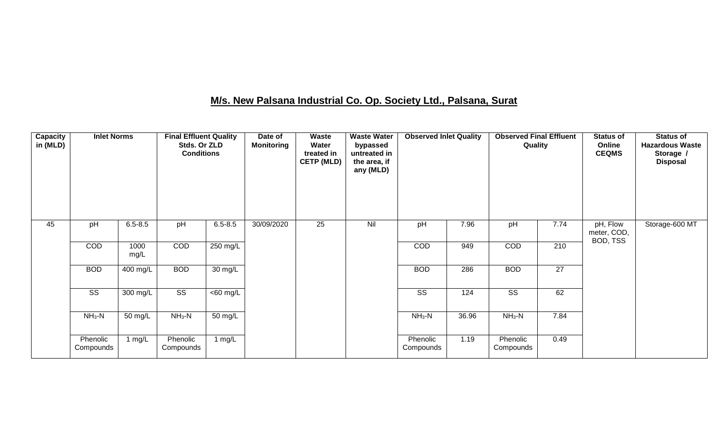### **M/s. New Palsana Industrial Co. Op. Society Ltd., Palsana, Surat**

| Capacity<br>in (MLD) | <b>Inlet Norms</b>     |              | <b>Final Effluent Quality</b><br>Stds. Or ZLD<br><b>Conditions</b> |                   | Date of<br><b>Monitoring</b> | <b>Waste</b><br>Water<br>treated in<br><b>CETP (MLD)</b> | <b>Waste Water</b><br>bypassed<br>untreated in<br>the area, if<br>any (MLD) | <b>Observed Inlet Quality</b> |       | <b>Observed Final Effluent</b><br>Quality |                 | <b>Status of</b><br>Online<br><b>CEQMS</b> | <b>Status of</b><br><b>Hazardous Waste</b><br>Storage /<br><b>Disposal</b> |
|----------------------|------------------------|--------------|--------------------------------------------------------------------|-------------------|------------------------------|----------------------------------------------------------|-----------------------------------------------------------------------------|-------------------------------|-------|-------------------------------------------|-----------------|--------------------------------------------|----------------------------------------------------------------------------|
| 45                   | pH                     | $6.5 - 8.5$  | pH                                                                 | $6.5 - 8.5$       | 30/09/2020                   | $\overline{25}$                                          | Nil                                                                         | pH                            | 7.96  | pH                                        | 7.74            | pH, Flow<br>meter, COD,<br>BOD, TSS        | Storage-600 MT                                                             |
|                      | COD                    | 1000<br>mg/L | COD                                                                | 250 mg/L          |                              |                                                          |                                                                             | COD                           | 949   | COD                                       | 210             |                                            |                                                                            |
|                      | <b>BOD</b>             | 400 mg/L     | <b>BOD</b>                                                         | $30 \text{ mg/L}$ |                              |                                                          |                                                                             | <b>BOD</b>                    | 286   | <b>BOD</b>                                | $\overline{27}$ |                                            |                                                                            |
|                      | $\overline{\text{ss}}$ | 300 mg/L     | $\overline{\text{SS}}$                                             | $<$ 60 mg/L       |                              |                                                          |                                                                             | $\overline{\text{SS}}$        | 124   | $\overline{\text{SS}}$                    | 62              |                                            |                                                                            |
|                      | $NH3-N$                | 50 mg/L      | $NH3-N$                                                            | 50 mg/L           |                              |                                                          |                                                                             | $NH3-N$                       | 36.96 | $NH3-N$                                   | 7.84            |                                            |                                                                            |
|                      | Phenolic<br>Compounds  | 1 $mg/L$     | Phenolic<br>Compounds                                              | 1 mg/L            |                              |                                                          |                                                                             | Phenolic<br>Compounds         | 1.19  | Phenolic<br>Compounds                     | 0.49            |                                            |                                                                            |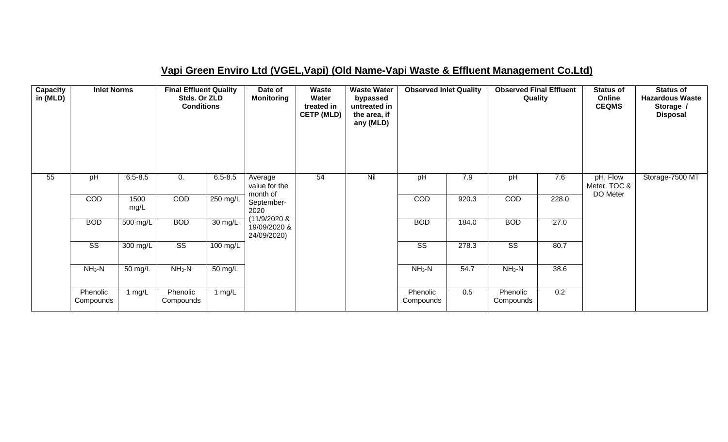### **Vapi Green Enviro Ltd (VGEL,Vapi) (Old Name-Vapi Waste & Effluent Management Co.Ltd)**

| Capacity<br>in (MLD) | <b>Inlet Norms</b>     |                       | <b>Final Effluent Quality</b><br>Stds. Or ZLD<br><b>Conditions</b> |                       | Date of<br><b>Monitoring</b>                | Waste<br>Water<br>treated in<br><b>CETP (MLD)</b> | <b>Waste Water</b><br>bypassed<br>untreated in<br>the area, if<br>any (MLD) | <b>Observed Inlet Quality</b> |       | <b>Observed Final Effluent</b><br>Quality |       | <b>Status of</b><br>Online<br><b>CEQMS</b> | <b>Status of</b><br><b>Hazardous Waste</b><br>Storage /<br><b>Disposal</b> |
|----------------------|------------------------|-----------------------|--------------------------------------------------------------------|-----------------------|---------------------------------------------|---------------------------------------------------|-----------------------------------------------------------------------------|-------------------------------|-------|-------------------------------------------|-------|--------------------------------------------|----------------------------------------------------------------------------|
| 55                   | pH                     | $6.5 - 8.5$           | 0.                                                                 | $6.5 - 8.5$           | Average<br>value for the<br>month of        | 54                                                | Nil                                                                         | pH                            | 7.9   | pH                                        | 7.6   | pH, Flow<br>Meter, TOC &<br>DO Meter       | Storage-7500 MT                                                            |
|                      | COD                    | 1500<br>mg/L          | COD                                                                | 250 mg/L              | September-<br>2020                          |                                                   |                                                                             | COD                           | 920.3 | COD                                       | 228.0 |                                            |                                                                            |
|                      | <b>BOD</b>             | $\overline{500}$ mg/L | <b>BOD</b>                                                         | $\overline{30}$ mg/L  | (11/9/2020 &<br>19/09/2020 &<br>24/09/2020) |                                                   |                                                                             | <b>BOD</b>                    | 184.0 | <b>BOD</b>                                | 27.0  |                                            |                                                                            |
|                      | $\overline{\text{ss}}$ | 300 mg/L              | $\overline{\text{ss}}$                                             | $\overline{100}$ mg/L |                                             |                                                   |                                                                             | $\overline{\text{ss}}$        | 278.3 | $\overline{\text{ss}}$                    | 80.7  |                                            |                                                                            |
|                      | $NH3-N$                | 50 mg/L               | $NH3-N$                                                            | 50 mg/L               |                                             |                                                   |                                                                             | $NH_3-N$                      | 54.7  | $NH_3-N$                                  | 38.6  |                                            |                                                                            |
|                      | Phenolic<br>Compounds  | 1 mg/L                | Phenolic<br>Compounds                                              | 1 mg/L                |                                             |                                                   |                                                                             | Phenolic<br>Compounds         | 0.5   | Phenolic<br>Compounds                     | 0.2   |                                            |                                                                            |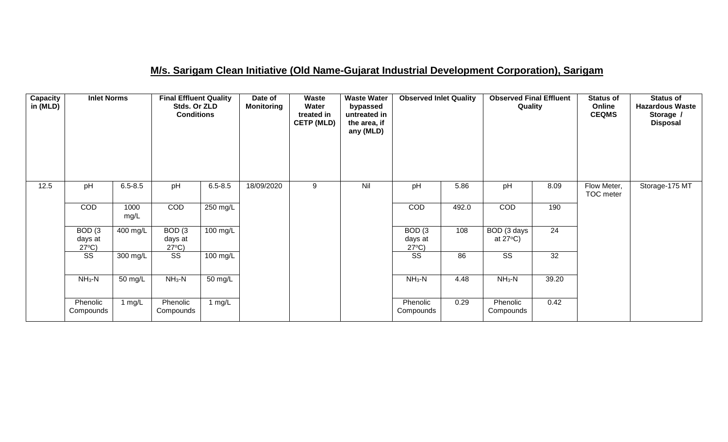### **M/s. Sarigam Clean Initiative (Old Name-Gujarat Industrial Development Corporation), Sarigam**

| Capacity<br>in (MLD) | <b>Inlet Norms</b>                              |              | <b>Final Effluent Quality</b><br>Stds. Or ZLD<br><b>Conditions</b> |                    | Date of<br><b>Monitoring</b> | <b>Waste</b><br>Water<br>treated in<br><b>CETP (MLD)</b> | <b>Waste Water</b><br>bypassed<br>untreated in<br>the area, if<br>any (MLD) | <b>Observed Inlet Quality</b>                   |       | <b>Observed Final Effluent</b><br>Quality |       | <b>Status of</b><br>Online<br><b>CEQMS</b> | <b>Status of</b><br><b>Hazardous Waste</b><br>Storage /<br><b>Disposal</b> |
|----------------------|-------------------------------------------------|--------------|--------------------------------------------------------------------|--------------------|------------------------------|----------------------------------------------------------|-----------------------------------------------------------------------------|-------------------------------------------------|-------|-------------------------------------------|-------|--------------------------------------------|----------------------------------------------------------------------------|
| 12.5                 | pH                                              | $6.5 - 8.5$  | pH                                                                 | $6.5 - 8.5$        | 18/09/2020                   | 9                                                        | Nil                                                                         | pH                                              | 5.86  | pH                                        | 8.09  | Flow Meter,<br>TOC meter                   | Storage-175 MT                                                             |
|                      | COD                                             | 1000<br>mg/L | COD                                                                | $250 \text{ mg/L}$ |                              |                                                          |                                                                             | COD                                             | 492.0 | COD                                       | 190   |                                            |                                                                            |
|                      | BOD <sub>(3</sub><br>days at<br>$27^{\circ}C$ ) | 400 mg/L     | BOD <sub>(3</sub><br>days at<br>$27^{\circ}C$ )                    | $100 \text{ mg/L}$ |                              |                                                          |                                                                             | BOD <sub>(3</sub><br>days at<br>$27^{\circ}C$ ) | 108   | BOD (3 days<br>at $27^{\circ}$ C)         | 24    |                                            |                                                                            |
|                      | SS                                              | 300 mg/L     | SS                                                                 | 100 mg/L           |                              |                                                          |                                                                             | SS                                              | 86    | $\overline{\text{SS}}$                    | 32    |                                            |                                                                            |
|                      | $NH3-N$                                         | 50 mg/L      | $NH_3-N$                                                           | 50 mg/L            |                              |                                                          |                                                                             | $NH3-N$                                         | 4.48  | $NH3-N$                                   | 39.20 |                                            |                                                                            |
|                      | Phenolic<br>Compounds                           | 1 $mg/L$     | Phenolic<br>Compounds                                              | 1 mg/L             |                              |                                                          |                                                                             | Phenolic<br>Compounds                           | 0.29  | Phenolic<br>Compounds                     | 0.42  |                                            |                                                                            |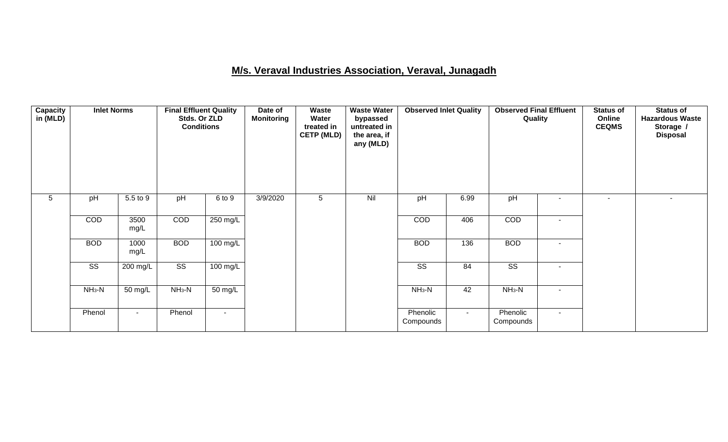### **M/s. Veraval Industries Association, Veraval, Junagadh**

| <b>Capacity</b><br>in (MLD) | <b>Inlet Norms</b>     |                    | Stds. Or ZLD<br><b>Conditions</b> |                          | Waste<br>Date of<br><b>Waste Water</b><br>Water<br><b>Monitoring</b><br>bypassed<br>untreated in<br>treated in<br><b>CETP (MLD)</b><br>the area, if<br>any (MLD) |   | <b>Observed Inlet Quality</b> |                        | <b>Observed Final Effluent</b><br>Quality |                        | <b>Status of</b><br>Online<br><b>CEQMS</b> | <b>Status of</b><br><b>Hazardous Waste</b><br>Storage /<br><b>Disposal</b> |  |
|-----------------------------|------------------------|--------------------|-----------------------------------|--------------------------|------------------------------------------------------------------------------------------------------------------------------------------------------------------|---|-------------------------------|------------------------|-------------------------------------------|------------------------|--------------------------------------------|----------------------------------------------------------------------------|--|
| 5                           | pH                     | 5.5 to 9           | pH                                | 6 to 9                   | 3/9/2020                                                                                                                                                         | 5 | Nil                           | pH                     | 6.99                                      | pH                     | $\overline{\phantom{a}}$                   | $\sim$                                                                     |  |
|                             | COD                    | 3500<br>mg/L       | COD                               | $250$ mg/L               |                                                                                                                                                                  |   |                               | COD                    | 406                                       | COD                    | $\blacksquare$                             |                                                                            |  |
|                             | <b>BOD</b>             | 1000<br>mg/L       | <b>BOD</b>                        | $100$ mg/L               |                                                                                                                                                                  |   |                               | <b>BOD</b>             | 136                                       | <b>BOD</b>             | $\blacksquare$                             |                                                                            |  |
|                             | $\overline{\text{SS}}$ | $200 \text{ mg/L}$ | $\overline{\text{ss}}$            | $100$ mg/L               |                                                                                                                                                                  |   |                               | $\overline{\text{ss}}$ | 84                                        | $\overline{\text{SS}}$ | ٠                                          |                                                                            |  |
|                             | $NH_3-N$               | 50 mg/L            | $NH3-N$                           | 50 mg/L                  |                                                                                                                                                                  |   |                               | $NH3-N$                | 42                                        | $NH_3-N$               | $\blacksquare$                             |                                                                            |  |
|                             | Phenol                 | $\blacksquare$     | Phenol                            | $\overline{\phantom{a}}$ |                                                                                                                                                                  |   |                               | Phenolic<br>Compounds  | $\sim$                                    | Phenolic<br>Compounds  | $\blacksquare$                             |                                                                            |  |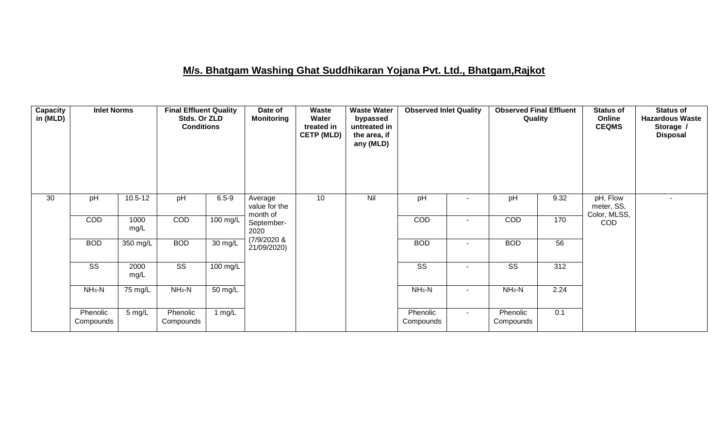### **M/s. Bhatgam Washing Ghat Suddhikaran Yojana Pvt. Ltd., Bhatgam,Rajkot**

| Capacity<br>in (MLD) | <b>Inlet Norms</b>     |              | <b>Final Effluent Quality</b><br>Stds. Or ZLD<br><b>Conditions</b> |            | Date of<br><b>Monitoring</b>           | Waste<br><b>Waste Water</b><br>Water<br>bypassed<br>treated in<br>untreated in<br><b>CETP (MLD)</b><br>the area, if<br>any (MLD) |         | <b>Observed Inlet Quality</b> |                          | <b>Observed Final Effluent</b><br>Quality |      | <b>Status of</b><br>Online<br><b>CEQMS</b> | <b>Status of</b><br><b>Hazardous Waste</b><br>Storage /<br><b>Disposal</b> |
|----------------------|------------------------|--------------|--------------------------------------------------------------------|------------|----------------------------------------|----------------------------------------------------------------------------------------------------------------------------------|---------|-------------------------------|--------------------------|-------------------------------------------|------|--------------------------------------------|----------------------------------------------------------------------------|
| 30                   | pH                     | $10.5 - 12$  | pH                                                                 | $6.5 - 9$  | Average<br>value for the<br>month of   | 10                                                                                                                               | Nil     | pH                            |                          | pH                                        | 9.32 | pH, Flow<br>meter, SS,<br>Color, MLSS,     |                                                                            |
|                      | COD                    | 1000<br>mg/L | COD                                                                | $100$ mg/L | September-<br>2020                     |                                                                                                                                  |         | COD                           |                          | COD                                       | 170  | <b>COD</b>                                 |                                                                            |
|                      | <b>BOD</b>             | 350 mg/L     | <b>BOD</b>                                                         | 30 mg/L    | $(7/9/2020 \text{ \&})$<br>21/09/2020) |                                                                                                                                  |         | <b>BOD</b>                    | $\sim$                   | <b>BOD</b>                                | 56   |                                            |                                                                            |
|                      | $\overline{\text{ss}}$ | 2000<br>mg/L | $\overline{\text{SS}}$                                             | $100$ mg/L |                                        |                                                                                                                                  |         | $\overline{\text{ss}}$        | $\overline{\phantom{a}}$ | $\overline{\text{ss}}$                    | 312  |                                            |                                                                            |
|                      | $NH3-N$                | 75 mg/L      | $NH_3-N$                                                           | 50 mg/L    |                                        |                                                                                                                                  | $NH3-N$ | $\sim$                        | $NH3-N$                  | 2.24                                      |      |                                            |                                                                            |
|                      | Phenolic<br>Compounds  | $5$ mg/L     | Phenolic<br>Compounds                                              | 1 $mg/L$   |                                        |                                                                                                                                  |         | Phenolic<br>Compounds         | $\sim$                   | Phenolic<br>Compounds                     | 0.1  |                                            |                                                                            |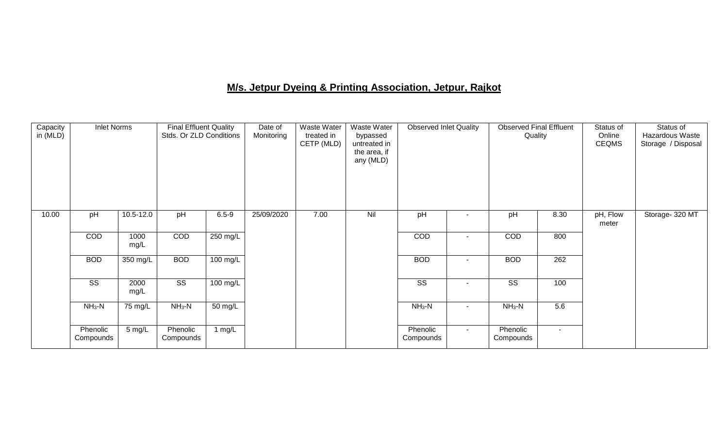# **M/s. Jetpur Dyeing & Printing Association, Jetpur, Rajkot**

| Capacity<br>in (MLD) | <b>Inlet Norms</b>     |              | <b>Final Effluent Quality</b><br>Stds. Or ZLD Conditions |                    | Date of<br>Monitoring | Waste Water<br>treated in<br>CETP (MLD) | Waste Water<br>bypassed<br>untreated in<br>the area, if<br>any (MLD) | <b>Observed Inlet Quality</b> |                          | <b>Observed Final Effluent</b><br>Quality |        | Status of<br>Online<br><b>CEQMS</b> | Status of<br>Hazardous Waste<br>Storage / Disposal |
|----------------------|------------------------|--------------|----------------------------------------------------------|--------------------|-----------------------|-----------------------------------------|----------------------------------------------------------------------|-------------------------------|--------------------------|-------------------------------------------|--------|-------------------------------------|----------------------------------------------------|
| 10.00                | pH                     | 10.5-12.0    | pH                                                       | $6.5 - 9$          | 25/09/2020            | 7.00                                    | Nil                                                                  | pH                            |                          | pH                                        | 8.30   | pH, Flow<br>meter                   | Storage- 320 MT                                    |
|                      | COD                    | 1000<br>mg/L | COD                                                      | $250 \text{ mg/L}$ |                       |                                         |                                                                      | <b>COD</b>                    | ٠                        | COD                                       | 800    |                                     |                                                    |
|                      | <b>BOD</b>             | 350 mg/L     | <b>BOD</b>                                               | $100 \text{ mg/L}$ |                       |                                         |                                                                      | <b>BOD</b>                    |                          | <b>BOD</b>                                | 262    |                                     |                                                    |
|                      | $\overline{\text{SS}}$ | 2000<br>mg/L | $\overline{\text{SS}}$                                   | $100$ mg/L         |                       |                                         |                                                                      | $\overline{\text{SS}}$        | $\overline{\phantom{a}}$ | $\overline{\text{SS}}$                    | 100    |                                     |                                                    |
|                      | $NH_3-N$               | 75 mg/L      | $NH_3-N$                                                 | 50 mg/L            |                       |                                         |                                                                      | $NH_3-N$                      | $\blacksquare$           | $NH_3-N$                                  | 5.6    |                                     |                                                    |
|                      | Phenolic<br>Compounds  | 5 mg/L       | Phenolic<br>Compounds                                    | 1 $mg/L$           |                       |                                         |                                                                      | Phenolic<br>Compounds         | $\sim$                   | Phenolic<br>Compounds                     | $\sim$ |                                     |                                                    |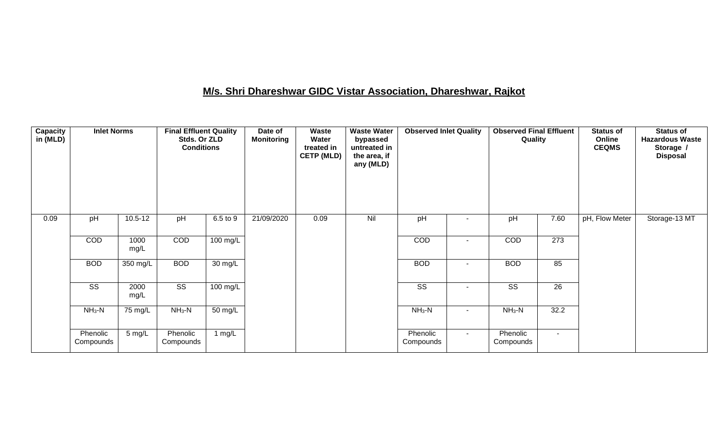# **M/s. Shri Dhareshwar GIDC Vistar Association, Dhareshwar, Rajkot**

| Capacity<br>in (MLD) |                        |              | <b>Final Effluent Quality</b><br>Stds. Or ZLD<br><b>Conditions</b> |                      | Waste<br>Date of<br><b>Monitoring</b><br>Water<br>treated in<br><b>CETP (MLD)</b> |      | <b>Waste Water</b><br>bypassed<br>untreated in<br>the area, if<br>any (MLD) | <b>Observed Inlet Quality</b> |        | <b>Observed Final Effluent</b><br>Quality |                  | <b>Status of</b><br>Online<br><b>CEQMS</b> | <b>Status of</b><br><b>Hazardous Waste</b><br>Storage /<br><b>Disposal</b> |
|----------------------|------------------------|--------------|--------------------------------------------------------------------|----------------------|-----------------------------------------------------------------------------------|------|-----------------------------------------------------------------------------|-------------------------------|--------|-------------------------------------------|------------------|--------------------------------------------|----------------------------------------------------------------------------|
| 0.09                 | pH                     | $10.5 - 12$  | pH                                                                 | 6.5 to 9             | 21/09/2020                                                                        | 0.09 | Nil                                                                         | pH                            |        | pH                                        | 7.60             | pH, Flow Meter                             | Storage-13 MT                                                              |
|                      | COD                    | 1000<br>mg/L | COD                                                                | 100 mg/L             |                                                                                   |      |                                                                             | COD                           |        | COD                                       | $\overline{273}$ |                                            |                                                                            |
|                      | <b>BOD</b>             | 350 mg/L     | <b>BOD</b>                                                         | $\overline{30}$ mg/L |                                                                                   |      |                                                                             | <b>BOD</b>                    |        | <b>BOD</b>                                | 85               |                                            |                                                                            |
|                      | $\overline{\text{SS}}$ | 2000<br>mg/L | $\overline{\text{ss}}$                                             | $100$ mg/L           |                                                                                   |      |                                                                             | $\overline{\text{ss}}$        | $\sim$ | $\overline{\text{ss}}$                    | $\overline{26}$  |                                            |                                                                            |
|                      | $NH3-N$                | 75 mg/L      | $NH_3-N$                                                           | $\overline{50}$ mg/L |                                                                                   |      |                                                                             | $NH3-N$                       | $\sim$ | $NH3-N$                                   | 32.2             |                                            |                                                                            |
|                      | Phenolic<br>Compounds  | 5 mg/L       | Phenolic<br>Compounds                                              | 1 $mg/L$             |                                                                                   |      |                                                                             | Phenolic<br>Compounds         | $\sim$ | Phenolic<br>Compounds                     | $\blacksquare$   |                                            |                                                                            |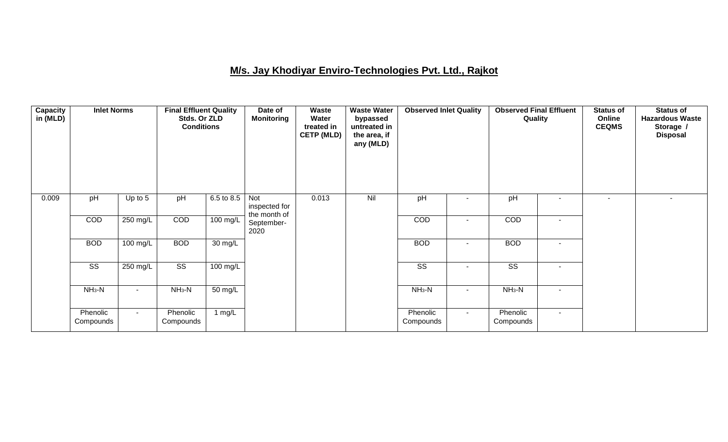### **M/s. Jay Khodiyar Enviro-Technologies Pvt. Ltd., Rajkot**

| <b>Capacity</b><br>in (MLD) | <b>Inlet Norms</b>     |                                              | <b>Final Effluent Quality</b><br>Stds. Or ZLD<br><b>Conditions</b> |                      | Date of<br><b>Monitoring</b>         | Waste<br>Water<br>treated in<br><b>CETP (MLD)</b> | <b>Waste Water</b><br>bypassed<br>untreated in<br>the area, if<br>any (MLD) | <b>Observed Inlet Quality</b> |                          | <b>Observed Final Effluent</b><br>Quality |                          | <b>Status of</b><br>Online<br><b>CEQMS</b> | <b>Status of</b><br><b>Hazardous Waste</b><br>Storage /<br><b>Disposal</b> |
|-----------------------------|------------------------|----------------------------------------------|--------------------------------------------------------------------|----------------------|--------------------------------------|---------------------------------------------------|-----------------------------------------------------------------------------|-------------------------------|--------------------------|-------------------------------------------|--------------------------|--------------------------------------------|----------------------------------------------------------------------------|
| 0.009                       | pH                     | Up to 5                                      | pH                                                                 | 6.5 to 8.5           | Not<br>inspected for<br>the month of | 0.013                                             | Nil                                                                         | pH                            |                          | pH                                        | $\overline{\phantom{a}}$ |                                            |                                                                            |
|                             | COD                    | $250$ mg/L                                   | COD                                                                | 100 mg/L             | September-<br>2020                   |                                                   |                                                                             | <b>COD</b>                    | $\overline{\phantom{a}}$ | <b>COD</b>                                | $\overline{\phantom{a}}$ |                                            |                                                                            |
|                             | <b>BOD</b>             | $100$ mg/L                                   | <b>BOD</b>                                                         | $30 \text{ mg/L}$    |                                      |                                                   |                                                                             | <b>BOD</b>                    | $\blacksquare$           | <b>BOD</b>                                | $\blacksquare$           |                                            |                                                                            |
|                             | $\overline{\text{ss}}$ | 250 mg/L                                     | $\overline{\text{ss}}$                                             | $100 \text{ mg/L}$   |                                      |                                                   |                                                                             | $\overline{\text{ss}}$        | $\sim$                   | $\overline{\text{SS}}$                    | $\blacksquare$           |                                            |                                                                            |
|                             | $NH3-N$                | $\blacksquare$                               | $NH3-N$                                                            | $\overline{50}$ mg/L |                                      |                                                   |                                                                             | $NH3-N$                       | ٠                        | $NH_3-N$                                  | $\overline{\phantom{a}}$ |                                            |                                                                            |
|                             | Phenolic<br>Compounds  | Phenolic<br>1 mg/ $L$<br>$\sim$<br>Compounds |                                                                    |                      |                                      |                                                   | Phenolic<br>Compounds                                                       | $\sim$                        | Phenolic<br>Compounds    | $\sim$                                    |                          |                                            |                                                                            |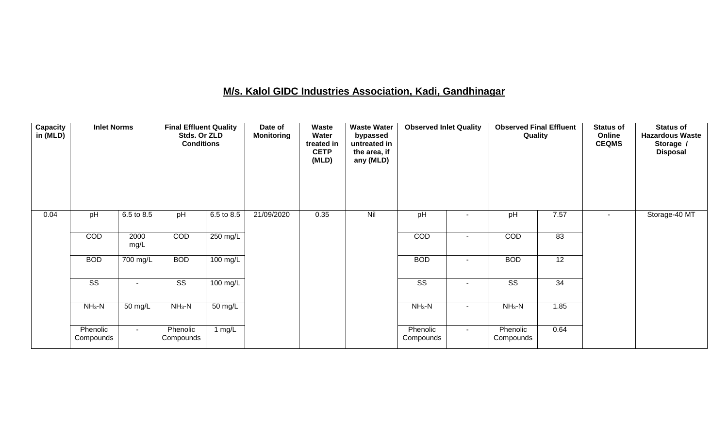### **M/s. Kalol GIDC Industries Association, Kadi, Gandhinagar**

| <b>Capacity</b><br>in (MLD) | <b>Inlet Norms</b>     |                          | <b>Final Effluent Quality</b><br>Stds. Or ZLD<br><b>Conditions</b> |                    | Date of<br><b>Monitoring</b> | Waste<br>Water<br>treated in<br><b>CETP</b><br>(MLD) | <b>Waste Water</b><br>bypassed<br>untreated in<br>the area, if<br>any (MLD) | <b>Observed Inlet Quality</b>       |        | <b>Observed Final Effluent</b><br>Quality |                 | <b>Status of</b><br>Online<br><b>CEQMS</b> | <b>Status of</b><br><b>Hazardous Waste</b><br>Storage /<br><b>Disposal</b> |
|-----------------------------|------------------------|--------------------------|--------------------------------------------------------------------|--------------------|------------------------------|------------------------------------------------------|-----------------------------------------------------------------------------|-------------------------------------|--------|-------------------------------------------|-----------------|--------------------------------------------|----------------------------------------------------------------------------|
| 0.04                        | pH                     | 6.5 to 8.5               | pH                                                                 | 6.5 to 8.5         | 21/09/2020                   | 0.35                                                 | Nil                                                                         | pH                                  |        | pH                                        | 7.57            |                                            | Storage-40 MT                                                              |
|                             | COD                    | 2000<br>mg/L             | COD                                                                | 250 mg/L           |                              |                                                      |                                                                             | COD                                 | ٠      |                                           | $\overline{83}$ |                                            |                                                                            |
|                             | <b>BOD</b>             | 700 mg/L                 | <b>BOD</b>                                                         | 100 mg/L           |                              |                                                      |                                                                             | <b>BOD</b>                          |        | <b>BOD</b>                                | 12              |                                            |                                                                            |
|                             | $\overline{\text{ss}}$ | $\overline{\phantom{a}}$ | $\overline{\text{SS}}$                                             | $100 \text{ mg/L}$ |                              |                                                      |                                                                             | $\overline{\text{ss}}$              | ٠      | $\overline{\text{ss}}$                    | 34              |                                            |                                                                            |
|                             | $NH3-N$                | 50 mg/L                  | $NH_3-N$                                                           | 50 mg/L            |                              |                                                      |                                                                             | $NH3-N$<br>$\overline{\phantom{a}}$ |        | $NH3-N$                                   | 1.85            |                                            |                                                                            |
|                             | Phenolic<br>Compounds  | $\sim$                   | Phenolic<br>Compounds                                              | 1 $mg/L$           |                              |                                                      |                                                                             | Phenolic<br>Compounds               | $\sim$ | Phenolic<br>Compounds                     | 0.64            |                                            |                                                                            |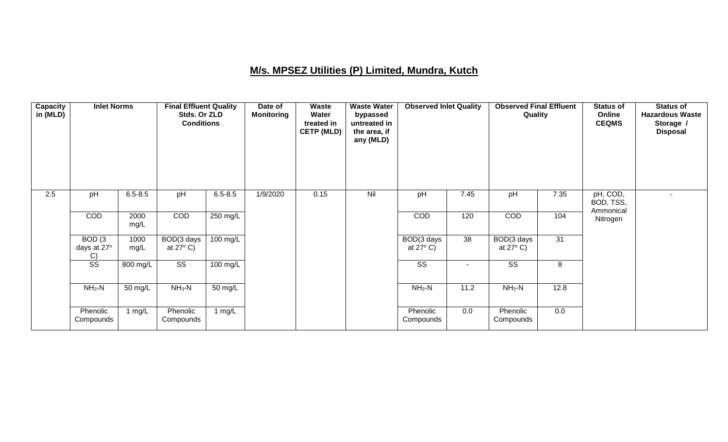### **M/s. MPSEZ Utilities (P) Limited, Mundra, Kutch**

| Capacity<br>in (MLD) | <b>Inlet Norms</b>          |              | <b>Final Effluent Quality</b><br>Stds. Or ZLD<br><b>Conditions</b> |                    | Date of<br><b>Monitoring</b> | Waste<br>Water<br>treated in<br><b>CETP (MLD)</b> | <b>Waste Water</b><br>bypassed<br>untreated in<br>the area, if<br>any (MLD) | <b>Observed Inlet Quality</b>    |        | <b>Observed Final Effluent</b><br>Quality |      | <b>Status of</b><br>Online<br><b>CEQMS</b> | <b>Status of</b><br><b>Hazardous Waste</b><br>Storage /<br><b>Disposal</b> |
|----------------------|-----------------------------|--------------|--------------------------------------------------------------------|--------------------|------------------------------|---------------------------------------------------|-----------------------------------------------------------------------------|----------------------------------|--------|-------------------------------------------|------|--------------------------------------------|----------------------------------------------------------------------------|
| 2.5                  | pH                          | $6.5 - 8.5$  | pH                                                                 | $6.5 - 8.5$        | 1/9/2020                     | 0.15                                              | Nil                                                                         | pH                               | 7.45   | pH                                        | 7.35 | pH, COD,<br>BOD, TSS,<br>Ammonical         | $\overline{\phantom{a}}$                                                   |
|                      | COD                         | 2000<br>mg/L | COD                                                                | $250$ mg/L         |                              |                                                   |                                                                             | COD                              | 120    | COD                                       | 104  | Nitrogen                                   |                                                                            |
|                      | BOD(3)<br>days at 27°<br>C) | 1000<br>mg/L | BOD(3 days<br>at $27^{\circ}$ C)                                   | $100 \text{ mg/L}$ |                              |                                                   |                                                                             | BOD(3 days<br>at $27^{\circ}$ C) | 38     | BOD(3 days<br>at $27^{\circ}$ C)          | 31   |                                            |                                                                            |
|                      | $\overline{\text{ss}}$      | 800 mg/L     | $\overline{\text{SS}}$                                             | 100 mg/L           |                              |                                                   |                                                                             | $\overline{\text{SS}}$           | $\sim$ | $\overline{\text{SS}}$                    | 8    |                                            |                                                                            |
|                      | $NH3-N$                     | 50 mg/L      | $NH3-N$                                                            | 50 mg/L            |                              |                                                   |                                                                             | $NH3-N$                          | 11.2   | $NH3-N$                                   | 12.8 |                                            |                                                                            |
|                      | Phenolic<br>Compounds       | 1 $mg/L$     | Phenolic<br>Compounds                                              | 1 $mg/L$           |                              |                                                   |                                                                             | Phenolic<br>Compounds            | 0.0    | Phenolic<br>Compounds                     | 0.0  |                                            |                                                                            |